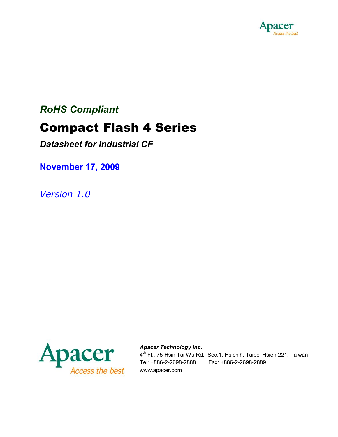

# *RoHS Compliant*

# **Compact Flash 4 Series**

*Datasheet for Industrial CF*

**November 17, 2009**

*Version 1.0*



#### *Apacer Technology Inc.*

4<sup>th</sup> Fl., 75 Hsin Tai Wu Rd., Sec.1, Hsichih, Taipei Hsien 221, Taiwan Tel: +886-2-2698-2888 Fax: +886-2-2698-2889 www.apacer.com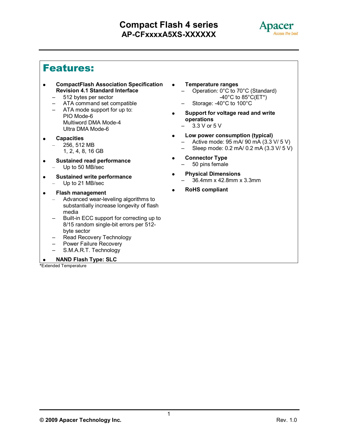

# **Features:**

- **CompactFlash Association Specification Revision 4.1 Standard Interface**
	- 512 bytes per sector
	- ATA command set compatible
	- ATA mode support for up to: PIO Mode-6 Multiword DMA Mode-4 Ultra DMA Mode-6
- **Capacities** – 256, 512 MB 1, 2, 4, 8, 16 GB
- **Sustained read performance**
	- Up to 50 MB/sec
- **Sustained write performance** – Up to 21 MB/sec
- **Flash management**
	- Advanced wear-leveling algorithms to substantially increase longevity of flash media
	- Built-in ECC support for correcting up to 8/15 random single-bit errors per 512 byte sector
	- Read Recovery Technology
	- Power Failure Recovery
	- S.M.A.R.T. Technology

#### **NAND Flash Type: SLC**

**\***Extended Temperature

- **Temperature ranges**
	- Operation: 0°C to 70°C (Standard)  $-40^{\circ}$ C to 85 $^{\circ}$ C(ET\*)
	- Storage: -40°C to 100°C
- **Support for voltage read and write operations**
	- $-$  3.3 V or 5 V
- **Low power consumption (typical)** – Active mode: 95 mA/ 90 mA (3.3 V/ 5 V)
	- Sleep mode: 0.2 mA/ 0.2 mA (3.3 V/ 5 V)
- **Connector Type**  – 50 pins female
- **Physical Dimensions** – 36.4mm x 42.8mm x 3.3mm
- **RoHS compliant**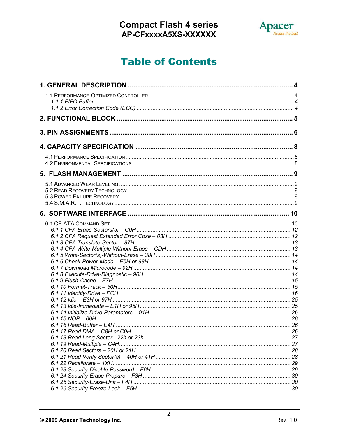

# **Table of Contents**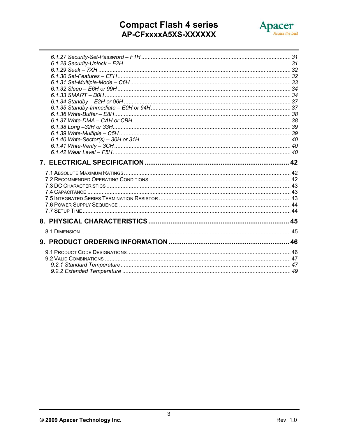# **Compact Flash 4 series<br>AP-CFxxxxA5XS-XXXXXX**

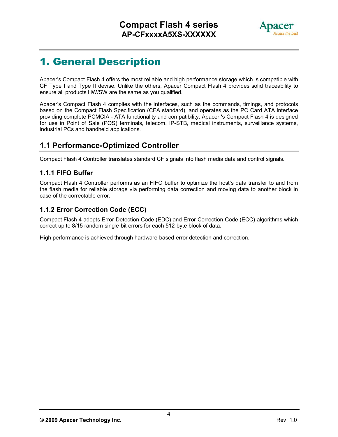

# **1. General Description**

Apacer's Compact Flash 4 offers the most reliable and high performance storage which is compatible with CF Type I and Type II devise. Unlike the others, Apacer Compact Flash 4 provides solid traceability to ensure all products HW/SW are the same as you qualified.

Apacer's Compact Flash 4 complies with the interfaces, such as the commands, timings, and protocols based on the Compact Flash Specification (CFA standard), and operates as the PC Card ATA interface providing complete PCMCIA - ATA functionality and compatibility. Apacer 's Compact Flash 4 is designed for use in Point of Sale (POS) terminals, telecom, IP-STB, medical instruments, surveillance systems, industrial PCs and handheld applications.

### **1.1 Performance-Optimized Controller**

Compact Flash 4 Controller translates standard CF signals into flash media data and control signals.

#### **1.1.1 FIFO Buffer**

Compact Flash 4 Controller performs as an FIFO buffer to optimize the host's data transfer to and from the flash media for reliable storage via performing data correction and moving data to another block in case of the correctable error.

#### **1.1.2 Error Correction Code (ECC)**

Compact Flash 4 adopts Error Detection Code (EDC) and Error Correction Code (ECC) algorithms which correct up to 8/15 random single-bit errors for each 512-byte block of data.

High performance is achieved through hardware-based error detection and correction.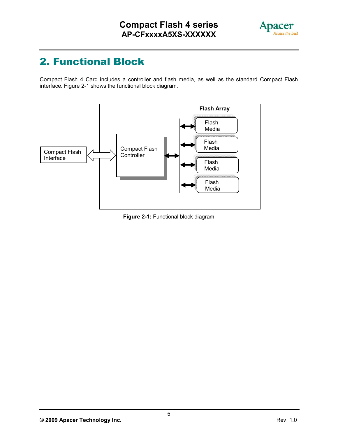

# **2. Functional Block**

Compact Flash 4 Card includes a controller and flash media, as well as the standard Compact Flash interface. Figure 2-1 shows the functional block diagram.



**Figure 2-1:** Functional block diagram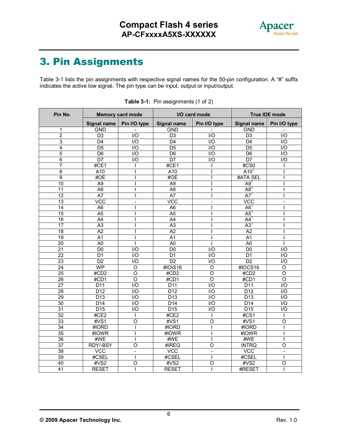

# **3. Pin Assignments**

Table 3-1 lists the pin assignments with respective signal names for the 50-pin configuration. A "#" suffix indicates the active low signal. The pin type can be input, output or input/output.

| Pin No.         | <b>Memory card mode</b> |                    | I/O card mode      |                    | <b>True IDE mode</b> |                    |
|-----------------|-------------------------|--------------------|--------------------|--------------------|----------------------|--------------------|
|                 | <b>Signal name</b>      | Pin I/O type       | <b>Signal name</b> | Pin I/O type       | <b>Signal name</b>   | Pin I/O type       |
| 1               | <b>GND</b>              |                    | <b>GND</b>         |                    | <b>GND</b>           |                    |
| $\overline{2}$  | $\overline{D3}$         | $\overline{1/O}$   | $\overline{D3}$    | $\overline{1/O}$   | D3                   | 1/O                |
| 3               | D <sub>4</sub>          | $\overline{1/O}$   | D <sub>4</sub>     | $\overline{1/O}$   | D <sub>4</sub>       | $\overline{1/O}$   |
| $\overline{4}$  | $\overline{D5}$         | $\overline{1/O}$   | D <sub>5</sub>     | $\overline{1/O}$   | $\overline{D5}$      | $\overline{1/O}$   |
| 5               | D <sub>6</sub>          | $\overline{1/O}$   | D <sub>6</sub>     | $\overline{1/O}$   | D <sub>6</sub>       | $\overline{1/O}$   |
| $6\overline{6}$ | $\overline{D7}$         | $\overline{1/O}$   | $\overline{D7}$    | $\overline{1/O}$   | $\overline{D7}$      | $\overline{1/O}$   |
| 7               | #CE1                    |                    | #CE1               |                    | #CS0                 |                    |
| 8               | A10                     |                    | A10                | ı                  | $A10$ <sup>T</sup>   | I                  |
| $\overline{9}$  | #OE                     |                    | #OE                |                    | #ATA SEL             |                    |
| $\overline{10}$ | A <sub>9</sub>          |                    | A <sub>9</sub>     |                    | $A9^1$               |                    |
| $\overline{11}$ | A <sub>8</sub>          |                    | $\overline{AB}$    |                    | A8 <sup>1</sup>      |                    |
| 12              | A7                      |                    | $\overline{A7}$    |                    | A7 <sup>1</sup>      |                    |
| 13              | VCC                     | $\overline{a}$     | VCC                | $\overline{a}$     | VCC                  | $\overline{a}$     |
| 14              | A <sub>6</sub>          |                    | A <sub>6</sub>     |                    | AG <sup>1</sup>      |                    |
| 15              | A <sub>5</sub>          |                    | A <sub>5</sub>     |                    | $A5^1$               |                    |
| 16              | $\overline{A4}$         |                    | A4                 |                    | $AA^1$               |                    |
| $\overline{17}$ | A3                      |                    | A3                 |                    | $A3^1$               |                    |
| 18              | A2                      |                    | $\overline{A2}$    |                    | A2                   |                    |
| 19              | A1                      |                    | A <sub>1</sub>     |                    | A <sub>1</sub>       |                    |
| $\overline{20}$ | A <sub>0</sub>          |                    | A <sub>0</sub>     | L                  | A <sub>0</sub>       | T                  |
| $\overline{21}$ | D <sub>0</sub>          | $\overline{1/O}$   | D <sub>0</sub>     | $\overline{1/O}$   | D <sub>0</sub>       | $\overline{1/O}$   |
| $\overline{22}$ | D <sub>1</sub>          | I/O                | D <sub>1</sub>     | $\overline{1/O}$   | D <sub>1</sub>       | I/O                |
| $\overline{23}$ | D2                      | $\overline{1/O}$   | D2                 | $\overline{1/O}$   | D2                   | $\overline{1/O}$   |
| $\overline{24}$ | <b>WP</b>               | $\overline{O}$     | #IOIS16            | $\overline{0}$     | #IOCS16              | $\overline{O}$     |
| $\overline{25}$ | #CD2                    | $\overline{\circ}$ | #CD2               | $\overline{0}$     | #CD2                 | $\overline{0}$     |
| $\overline{26}$ | #CD1                    | $\circ$            | #CD1               | $\overline{0}$     | #CD1                 | $\overline{O}$     |
| $\overline{27}$ | $\overline{D11}$        | $\overline{1/O}$   | $\overline{D11}$   | $\overline{1/O}$   | $\overline{D11}$     | $\overline{1/O}$   |
| 28              | D12                     | $\overline{1/O}$   | D12                | $\overline{1/O}$   | D12                  | $\overline{1/O}$   |
| 29              | D13                     | $\overline{1/O}$   | D13                | I/O                | D <sub>13</sub>      | I/O                |
| 30              | D <sub>14</sub>         | $\overline{1/O}$   | D <sub>14</sub>    | $\overline{1/O}$   | D <sub>14</sub>      | 1/O                |
| 31              | D15                     | $\overline{1/O}$   | D15                | 1/O                | D15                  | $\overline{1/O}$   |
| 32              | #CE2                    |                    | #CE2               |                    | #CS1                 | T                  |
| 33              | #VS1                    | $\overline{0}$     | #VS1               | $\overline{\circ}$ | #VS1                 | $\overline{O}$     |
| 34              | #IORD                   |                    | #IORD              |                    | #IORD                |                    |
| 35              | #IOWR                   |                    | #IOWR              | ı                  | #IOWR                | ı                  |
| 36              | #WE                     |                    | #WE                | ı                  | #WE                  | ı                  |
| $\overline{37}$ | RDY/-BSY                | $\overline{\circ}$ | #IREQ              | Ō                  | <b>INTRQ</b>         | $\overline{\rm o}$ |
| 38              | VCC                     | $\frac{1}{2}$      | VCC                | $\overline{a}$     | <b>VCC</b>           | $\overline{a}$     |
| 39              | #CSEL                   |                    | #CSEL              |                    | #CSEL                |                    |
| 40              | #VS2                    | O                  | #VS2               | O                  | #VS2                 | O                  |
| 41              | <b>RESET</b>            |                    | <b>RESET</b>       | T                  | #RESET               | I                  |

|  | <b>Table 3-1:</b> Pin assignments (1 of 2) |
|--|--------------------------------------------|
|--|--------------------------------------------|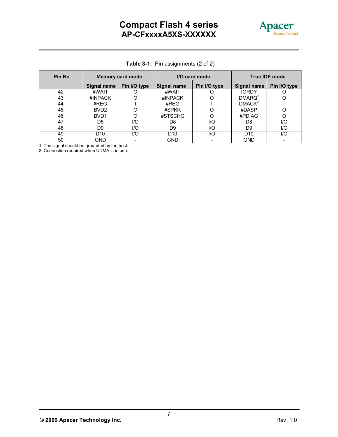

|  | Table 3-1: Pin assignments (2 of 2) |  |
|--|-------------------------------------|--|
|--|-------------------------------------|--|

| Pin No. | <b>Memory card mode</b> |              | I/O card mode      |              | <b>True IDE mode</b> |              |
|---------|-------------------------|--------------|--------------------|--------------|----------------------|--------------|
|         | Signal name             | Pin I/O type | <b>Signal name</b> | Pin I/O type | Signal name          | Pin I/O type |
| 42      | #WAIT                   |              | #WAIT              |              | <b>IORDY</b>         |              |
| 43      | #INPACK                 |              | #INPACK            |              | DMARQ <sup>2</sup>   |              |
| 44      | #REG                    |              | #REG               |              | DMACK <sup>2</sup>   |              |
| 45      | BVD <sub>2</sub>        |              | #SPKR              |              | #DASP                |              |
| 46      | BVD <sub>1</sub>        |              | #STSCHG            |              | #PDIAG               | O            |
| 47      | D8                      | I/O          | D <sub>8</sub>     | I/O          | D8                   | 1/O          |
| 48      | D <sub>9</sub>          | I/O          | D <sub>9</sub>     | I/O          | D9                   | 1/O          |
| 49      | D <sub>10</sub>         | I/O          | D <sub>10</sub>    | I/O          | D <sub>10</sub>      | 1/O          |
| 50      | <b>GND</b>              |              | GND                |              | <b>GND</b>           |              |

1. The signal should be grounded by the host.

2. Connection required when UDMA is in use.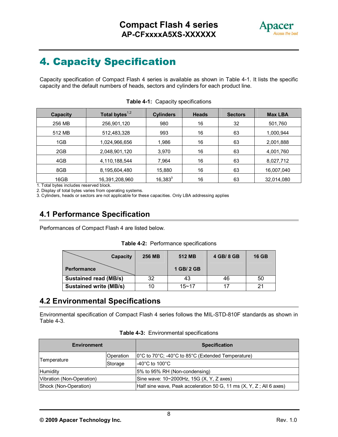

# **4. Capacity Specification**

Capacity specification of Compact Flash 4 series is available as shown in Table 4-1. It lists the specific capacity and the default numbers of heads, sectors and cylinders for each product line.

| Total bytes $^{1,2}$ | <b>Cylinders</b> | <b>Heads</b> | <b>Sectors</b> | <b>Max LBA</b> |
|----------------------|------------------|--------------|----------------|----------------|
| 256,901,120          | 980              | 16           | 32             | 501,760        |
| 512,483,328          | 993              | 16           | 63             | 1,000,944      |
| 1,024,966,656        | 1,986            | 16           | 63             | 2,001,888      |
| 2,048,901,120        | 3,970            | 16           | 63             | 4,001,760      |
| 4,110,188,544        | 7,964            | 16           | 63             | 8,027,712      |
| 8,195,604,480        | 15,880           | 16           | 63             | 16,007,040     |
| 16,391,208,960       | $16,383^3$       | 16           | 63             | 32,014,080     |
|                      |                  |              |                |                |

| Table 4-1: Capacity specifications |
|------------------------------------|
|------------------------------------|

1. Total bytes includes reserved block.

2. Display of total bytes varies from operating systems.

3. Cylinders, heads or sectors are not applicable for these capacities. Only LBA addressing applies

### **4.1 Performance Specification**

Performances of Compact Flash 4 are listed below.

|  |  | Table 4-2: Performance specifications |
|--|--|---------------------------------------|
|--|--|---------------------------------------|

| <b>Capacity</b>               | <b>256 MB</b> | 512 MB     | 4 GB/ 8 GB | <b>16 GB</b> |
|-------------------------------|---------------|------------|------------|--------------|
| <b>Performance</b>            |               | 1 GB/ 2 GB |            |              |
| <b>Sustained read (MB/s)</b>  | 32            | 43         | 46         | 50           |
| <b>Sustained write (MB/s)</b> |               | $15 - 17$  |            |              |

### **4.2 Environmental Specifications**

Environmental specification of Compact Flash 4 series follows the MIL-STD-810F standards as shown in Table 4-3.

| <b>Environment</b>        |           | <b>Specification</b>                                                                          |
|---------------------------|-----------|-----------------------------------------------------------------------------------------------|
|                           | Operation | $ 0^{\circ}$ C to 70 $^{\circ}$ C; -40 $^{\circ}$ C to 85 $^{\circ}$ C (Extended Temperature) |
| Temperature               | Storage   | $-40^{\circ}$ C to 100 $^{\circ}$ C                                                           |
| Humidity                  |           | 15% to 95% RH (Non-condensing)                                                                |
| Vibration (Non-Operation) |           | Sine wave: 10~2000Hz, 15G (X, Y, Z axes)                                                      |
| Shock (Non-Operation)     |           | Half sine wave, Peak acceleration 50 G, 11 ms (X, Y, Z; All 6 axes)                           |

**Table 4-3:** Environmental specifications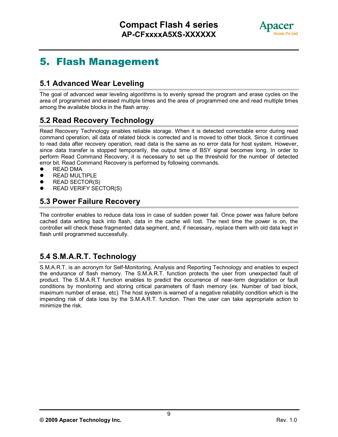

# **5. Flash Management**

# **5.1 Advanced Wear Leveling**

The goal of advanced wear leveling algorithms is to evenly spread the program and erase cycles on the area of programmed and erased multiple times and the area of programmed one and read multiple times among the available blocks in the flash array.

### **5.2 Read Recovery Technology**

Read Recovery Technology enables reliable storage. When it is detected correctable error during read command operation, all data of related block is corrected and is moved to other block. Since it continues to read data after recovery operation, read data is the same as no error data for host system. However, since data transfer is stopped temporarily, the output time of BSY signal becomes long. In order to perform Read Command Recovery, it is necessary to set up the threshold for the number of detected error bit. Read Command Recovery is performed by following commands.

- **•** READ DMA
- READ MULTIPLE<br>• READ SECTOR(S
- READ SECTOR(S)
- READ VERIFY SECTOR(S)

### **5.3 Power Failure Recovery**

The controller enables to reduce data loss in case of sudden power fail. Once power was failure before cached data writing back into flash, data in the cache will lost. The next time the power is on, the controller will check these fragmented data segment, and, if necessary, replace them with old data kept in flash until programmed successfully.

### **5.4 S.M.A.R.T. Technology**

S.M.A.R.T. is an acronym for Self-Monitoring, Analysis and Reporting Technology and enables to expect the endurance of flash memory. The S.M.A.R.T. function protects the user from unexpected fault of product. The S.M.A.R.T function enables to predict the occurrence of near-term degradation or fault conditions by monitoring and storing critical parameters of flash memory (ex. Number of bad block, maximum number of erase, etc). The host system is warned of a negative reliability condition which is the impending risk of data loss by the S.M.A.R.T. function. Then the user can take appropriate action to minimize the risk.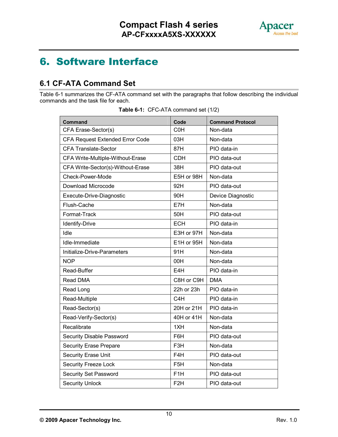

# **6. Software Interface**

# **6.1 CF-ATA Command Set**

Table 6-1 summarizes the CF-ATA command set with the paragraphs that follow describing the individual commands and the task file for each.

|  | Table 6-1: CFC-ATA command set (1/2) |  |
|--|--------------------------------------|--|
|--|--------------------------------------|--|

| <b>Command</b>                    | Code             | <b>Command Protocol</b> |
|-----------------------------------|------------------|-------------------------|
| CFA Erase-Sector(s)               | <b>COH</b>       | Non-data                |
| CFA Request Extended Error Code   | 03H              | Non-data                |
| <b>CFA Translate-Sector</b>       | 87H              | PIO data-in             |
| CFA Write-Multiple-Without-Erase  | <b>CDH</b>       | PIO data-out            |
| CFA Write-Sector(s)-Without-Erase | 38H              | PIO data-out            |
| Check-Power-Mode                  | E5H or 98H       | Non-data                |
| Download Microcode                | 92H              | PIO data-out            |
| Execute-Drive-Diagnostic          | 90H              | Device Diagnostic       |
| Flush-Cache                       | E7H              | Non-data                |
| Format-Track                      | 50H              | PIO data-out            |
| Identify-Drive                    | <b>ECH</b>       | PIO data-in             |
| Idle                              | E3H or 97H       | Non-data                |
| Idle-Immediate                    | E1H or 95H       | Non-data                |
| Initialize-Drive-Parameters       | 91H              | Non-data                |
| <b>NOP</b>                        | 00H              | Non-data                |
| Read-Buffer                       | E4H              | PIO data-in             |
| Read DMA                          | C8H or C9H       | <b>DMA</b>              |
| Read Long                         | 22h or 23h       | PIO data-in             |
| Read-Multiple                     | C <sub>4</sub> H | PIO data-in             |
| Read-Sector(s)                    | 20H or 21H       | PIO data-in             |
| Read-Verify-Sector(s)             | 40H or 41H       | Non-data                |
| Recalibrate                       | 1XH              | Non-data                |
| Security Disable Password         | F6H              | PIO data-out            |
| <b>Security Erase Prepare</b>     | F3H              | Non-data                |
| <b>Security Erase Unit</b>        | F4H              | PIO data-out            |
| <b>Security Freeze Lock</b>       | F <sub>5</sub> H | Non-data                |
| <b>Security Set Password</b>      | F <sub>1</sub> H | PIO data-out            |
| <b>Security Unlock</b>            | F <sub>2</sub> H | PIO data-out            |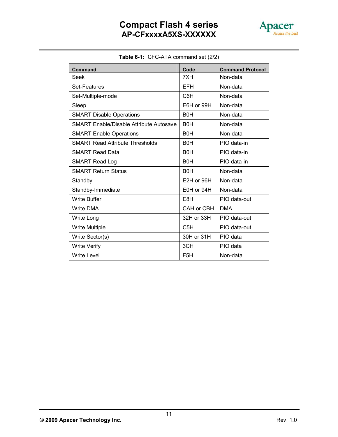

| Table 6-1: CFC-ATA command set (2/2) |
|--------------------------------------|

| Command                                        | Code                  | <b>Command Protocol</b> |
|------------------------------------------------|-----------------------|-------------------------|
| Seek                                           | 7XH                   | Non-data                |
| Set-Features                                   | EFH                   | Non-data                |
| Set-Multiple-mode                              | C6H                   | Non-data                |
| Sleep                                          | E6H or 99H            | Non-data                |
| <b>SMART Disable Operations</b>                | B <sub>0</sub> H      | Non-data                |
| <b>SMART Enable/Disable Attribute Autosave</b> | B <sub>0</sub> H      | Non-data                |
| <b>SMART Enable Operations</b>                 | B <sub>0</sub> H      | Non-data                |
| <b>SMART Read Attribute Thresholds</b>         | <b>B<sub>OH</sub></b> | PIO data-in             |
| <b>SMART Read Data</b>                         | <b>B0H</b>            | PIO data-in             |
| <b>SMART Read Log</b>                          | B <sub>0</sub> H      | PIO data-in             |
| <b>SMART Return Status</b>                     | <b>B0H</b>            | Non-data                |
| Standby                                        | E2H or 96H            | Non-data                |
| Standby-Immediate                              | E0H or 94H            | Non-data                |
| <b>Write Buffer</b>                            | E8H                   | PIO data-out            |
| <b>Write DMA</b>                               | CAH or CBH            | <b>DMA</b>              |
| Write Long                                     | 32H or 33H            | PIO data-out            |
| <b>Write Multiple</b>                          | C <sub>5</sub> H      | PIO data-out            |
| Write Sector(s)                                | 30H or 31H            | PIO data                |
| <b>Write Verify</b>                            | 3CH                   | PIO data                |
| <b>Write Level</b>                             | F <sub>5</sub> H      | Non-data                |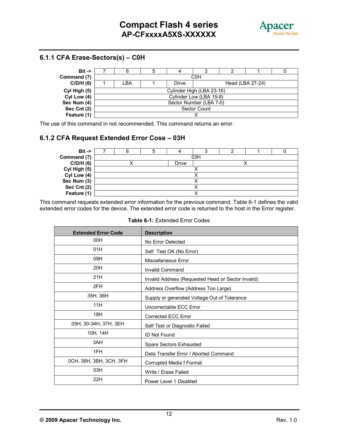

#### **6.1.1 CFA Erase-Sectors(s) – C0H**

| $Bit -$      |                         |  |                           |                         |                  |  |  |  |
|--------------|-------------------------|--|---------------------------|-------------------------|------------------|--|--|--|
| Command (7)  |                         |  |                           | C <sub>0</sub> H        |                  |  |  |  |
| C/D/H(6)     | LBA                     |  | Drive                     |                         | Head (LBA 27-24) |  |  |  |
| Cyl High (5) |                         |  | Cylinder High (LBA 23-16) |                         |                  |  |  |  |
| Cyl Low (4)  |                         |  |                           | Cylinder Low (LBA 15-8) |                  |  |  |  |
| Sec Num (4)  | Sector Number (LBA 7-0) |  |                           |                         |                  |  |  |  |
| Sec Cnt (2)  | <b>Sector Count</b>     |  |                           |                         |                  |  |  |  |
| Feature (1)  |                         |  |                           |                         |                  |  |  |  |

The use of this command in not recommended. This command returns an error.

#### **6.1.2 CFA Request Extended Error Cose – 03H**

| $Bit -$      |  |  |       |     |  |  |  |
|--------------|--|--|-------|-----|--|--|--|
| Command (7)  |  |  |       | 03H |  |  |  |
| C/D/H(6)     |  |  | Drive |     |  |  |  |
| Cyl High (5) |  |  |       |     |  |  |  |
| Cyl Low (4)  |  |  |       |     |  |  |  |
| Sec Num (3)  |  |  |       |     |  |  |  |
| Sec Cnt (2)  |  |  |       |     |  |  |  |
| Feature (1)  |  |  |       |     |  |  |  |

This command requests extended error information for the previous command. Table 6-1 defines the valid extended error codes for the device. The extended error code is returned to the host in the Error register.

| <b>Extended Error Code</b> | <b>Description</b>                                 |
|----------------------------|----------------------------------------------------|
| 00H                        | No Error Detected                                  |
| 01H                        | Self Test OK (No Error)                            |
| 09H                        | Miscellaneous Error                                |
| 20H                        | <b>Invalid Command</b>                             |
| 21H                        | Invalid Address (Requested Head or Sector Invalid) |
| 2FH                        | Address Overflow (Address Too Large)               |
| 35H, 36H                   | Supply or generated Voltage Out of Tolerance       |
| 11H                        | Uncorrectable ECC Error                            |
| 18H                        | <b>Corrected ECC Error</b>                         |
| 05H, 30-34H, 37H, 3EH      | Self Test or Diagnostic Failed                     |
| 10H, 14H                   | ID Not Found                                       |
| 3AH                        | Spare Sectors Exhausted                            |
| 1FH                        | Data Transfer Error / Aborted Command              |
| 0CH, 38H, 3BH, 3CH, 3FH    | Corrupted Media f Format                           |
| 03H                        | Write / Erase Failed                               |
| 22H                        | Power Level 1 Disabled                             |

**Table 6-1:** Extended Error Codes

**© 2009 Apacer Technology Inc.** Rev. 1.0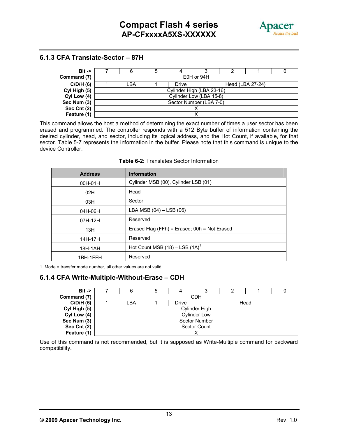

#### **6.1.3 CFA Translate-Sector – 87H**



This command allows the host a method of determining the exact number of times a user sector has been erased and programmed. The controller responds with a 512 Byte buffer of information containing the desired cylinder, head, and sector, including its logical address, and the Hot Count, if available, for that sector. Table 5-7 represents the information in the buffer. Please note that this command is unique to the device Controller.

| <b>Address</b> | <b>Information</b>                           |
|----------------|----------------------------------------------|
| 00H-01H        | Cylinder MSB (00), Cylinder LSB (01)         |
| 02H            | Head                                         |
| 03H            | Sector                                       |
| 04H-06H        | LBA MSB (04) - LSB (06)                      |
| 07H-12H        | Reserved                                     |
| 13H            | Erased Flag (FFh) = Erased; 00h = Not Erased |
| 14H-17H        | Reserved                                     |
| 18H-1AH        | Hot Count MSB $(18)$ – LSB $(1A)^1$          |
| 1BH-1FFH       | Reserved                                     |

#### **Table 6-2:** Translates Sector Information

1. Mode = transfer mode number, all other values are not valid

#### **6.1.4 CFA Write-Multiple-Without-Erase – CDH**

| $Bit ->$     |                      | 5 |       | ື                   |  |      |  |  |
|--------------|----------------------|---|-------|---------------------|--|------|--|--|
| Command (7)  |                      |   |       | CDH                 |  |      |  |  |
| C/D/H(6)     | LBA                  |   | Drive |                     |  | Head |  |  |
| Cyl High (5) | Cylinder High        |   |       |                     |  |      |  |  |
| Cyl Low (4)  |                      |   |       | <b>Cylinder Low</b> |  |      |  |  |
| Sec Num (3)  | <b>Sector Number</b> |   |       |                     |  |      |  |  |
| Sec Cnt (2)  | Sector Count         |   |       |                     |  |      |  |  |
| Feature (1)  |                      |   |       |                     |  |      |  |  |

Use of this command is not recommended, but it is supposed as Write-Multiple command for backward compatibility.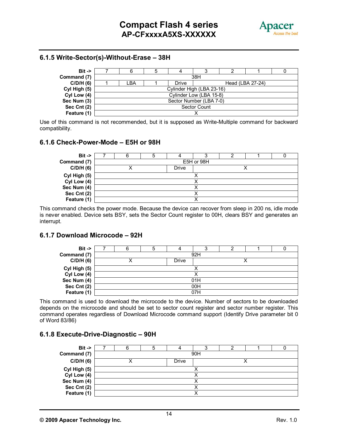

#### **6.1.5 Write-Sector(s)-Without-Erase – 38H**



Use of this command is not recommended, but it is supposed as Write-Multiple command for backward compatibility.

#### **6.1.6 Check-Power-Mode – E5H or 98H**

| $Bit ->$     |  |  |       |            |  |  |  |
|--------------|--|--|-------|------------|--|--|--|
| Command (7)  |  |  |       | E5H or 98H |  |  |  |
| C/D/H(6)     |  |  | Drive |            |  |  |  |
| Cyl High (5) |  |  |       |            |  |  |  |
| Cyl Low (4)  |  |  |       |            |  |  |  |
| Sec Num (4)  |  |  |       |            |  |  |  |
| Sec Cnt (2)  |  |  |       |            |  |  |  |
| Feature (1)  |  |  |       |            |  |  |  |

This command checks the power mode. Because the device can recover from sleep in 200 ns, idle mode is never enabled. Device sets BSY, sets the Sector Count register to 00H, clears BSY and generates an interrupt.

#### **6.1.7 Download Microcode – 92H**

| $Bit ->$     |     |  |       |     |  |  |  |
|--------------|-----|--|-------|-----|--|--|--|
| Command (7)  |     |  |       | 92H |  |  |  |
| C/D/H(6)     |     |  | Drive |     |  |  |  |
| Cyl High (5) |     |  |       |     |  |  |  |
| Cyl Low (4)  |     |  |       |     |  |  |  |
| Sec Num (4)  | 01H |  |       |     |  |  |  |
| Sec Cnt (2)  |     |  |       | 00H |  |  |  |
| Feature (1)  |     |  |       | 07H |  |  |  |

This command is used to download the microcode to the device. Number of sectors to be downloaded depends on the microcode and should be set to sector count register and sector number register. This command operates regardless of Download Microcode command support (Identify Drive parameter bit 0 of Word 83/86)

#### **6.1.8 Execute-Drive-Diagnostic – 90H**

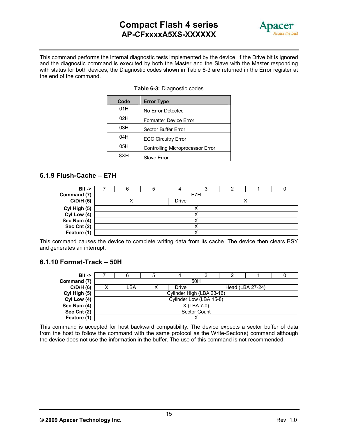# **Compact Flash 4 series AP-CFxxxxA5XS-XXXXXX**



 This command performs the internal diagnostic tests implemented by the device. If the Drive bit is ignored and the diagnostic command is executed by both the Master and the Slave with the Master responding with status for both devices, the Diagnostic codes shown in Table 6-3 are returned in the Error register at the end of the command.

| Code | <b>Error Type</b>                       |
|------|-----------------------------------------|
| 01H  | No Error Detected                       |
| 02H  | <b>Formatter Device Error</b>           |
| 03H  | <b>Sector Buffer Error</b>              |
| 04H  | <b>ECC Circuitry Error</b>              |
| 05H  | <b>Controlling Microprocessor Error</b> |
| 8.XH | <b>Slave Error</b>                      |

#### **Table 6-3:** Diagnostic codes

#### **6.1.9 Flush-Cache – E7H**

| $Bit -$      |  |       |     |  |  |
|--------------|--|-------|-----|--|--|
| Command (7)  |  |       | E7H |  |  |
| C/D/H(6)     |  | Drive |     |  |  |
| Cyl High (5) |  |       |     |  |  |
| Cyl Low (4)  |  |       |     |  |  |
| Sec Num (4)  |  |       |     |  |  |
| Sec Cnt (2)  |  |       |     |  |  |
| Feature (1)  |  |       |     |  |  |

This command causes the device to complete writing data from its cache. The device then clears BSY and generates an interrupt.

#### **6.1.10 Format-Track – 50H**

| $Bit \rightarrow$ |                           | 5 |       |                         |                  |  |  |  |  |
|-------------------|---------------------------|---|-------|-------------------------|------------------|--|--|--|--|
| Command (7)       |                           |   |       | 50H                     |                  |  |  |  |  |
| C/D/H(6)          | _BA                       | х | Drive |                         | Head (LBA 27-24) |  |  |  |  |
| Cyl High (5)      | Cylinder High (LBA 23-16) |   |       |                         |                  |  |  |  |  |
| Cyl Low (4)       |                           |   |       | Cylinder Low (LBA 15-8) |                  |  |  |  |  |
| Sec Num (4)       | $X$ (LBA 7-0)             |   |       |                         |                  |  |  |  |  |
| Sec Cnt (2)       | <b>Sector Count</b>       |   |       |                         |                  |  |  |  |  |
| Feature (1)       |                           |   |       |                         |                  |  |  |  |  |

This command is accepted for host backward compatibility. The device expects a sector buffer of data from the host to follow the command with the same protocol as the Write-Sector(s) command although the device does not use the information in the buffer. The use of this command is not recommended.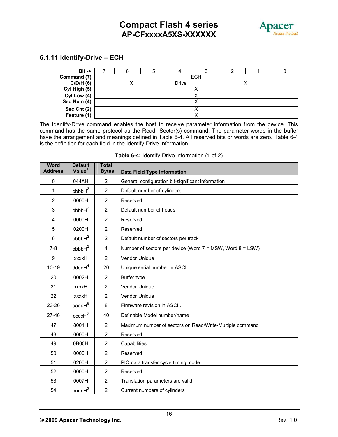

#### **6.1.11 Identify-Drive – ECH**



The Identify-Drive command enables the host to receive parameter information from the device. This command has the same protocol as the Read- Sector(s) command. The parameter words in the buffer have the arrangement and meanings defined in Table 6-4. All reserved bits or words are zero. Table 6-4 is the definition for each field in the Identify-Drive Information.

| <b>Word</b><br><b>Address</b> | <b>Default</b><br>Value $1$ | <b>Total</b><br><b>Bytes</b> | <b>Data Field Type Information</b>                              |
|-------------------------------|-----------------------------|------------------------------|-----------------------------------------------------------------|
| 0                             | 044AH                       | $\overline{2}$               | General configuration bit-significant information               |
| $\mathbf{1}$                  | bbbbH <sup>2</sup>          | $\overline{2}$               | Default number of cylinders                                     |
| $\overline{2}$                | 0000H                       | $\overline{2}$               | Reserved                                                        |
| 3                             | bbbbH <sup>2</sup>          | $\overline{2}$               | Default number of heads                                         |
| 4                             | 0000H                       | $\overline{2}$               | Reserved                                                        |
| 5                             | 0200H                       | $\overline{2}$               | Reserved                                                        |
| 6                             | bbbbH <sup>2</sup>          | $\overline{2}$               | Default number of sectors per track                             |
| $7 - 8$                       | bbbbH <sup>2</sup>          | 4                            | Number of sectors per device (Word $7 = MSW$ , Word $8 = LSW$ ) |
| $\boldsymbol{9}$              | <b>Hxxxx</b>                | $\overline{2}$               | Vendor Unique                                                   |
| $10 - 19$                     | ddddH <sup>4</sup>          | 20                           | Unique serial number in ASCII                                   |
| 20                            | 0002H                       | 2                            | Buffer type                                                     |
| 21                            | <b>Hxxxx</b>                | 2                            | Vendor Unique                                                   |
| 22                            | <b>Hxxxx</b>                | $\overline{2}$               | Vendor Unique                                                   |
| 23-26                         | aaaa $H^5$                  | 8                            | Firmware revision in ASCII.                                     |
| $27 - 46$                     | $ccc$ c $H^6$               | 40                           | Definable Model number/name                                     |
| 47                            | 8001H                       | $\overline{2}$               | Maximum number of sectors on Read/Write-Multiple command        |
| 48                            | 0000H                       | $\overline{2}$               | Reserved                                                        |
| 49                            | 0B00H                       | $\overline{2}$               | Capabilities                                                    |
| 50                            | 0000H                       | $\overline{2}$               | Reserved                                                        |
| 51                            | 0200H                       | $\overline{2}$               | PIO data transfer cycle timing mode                             |
| 52                            | 0000H                       | $\overline{2}$               | Reserved                                                        |
| 53                            | 0007H                       | $\overline{2}$               | Translation parameters are valid                                |
| 54                            | nnnnH <sup>3</sup>          | $\overline{2}$               | Current numbers of cylinders                                    |

#### **Table 6-4:** Identify-Drive information (1 of 2)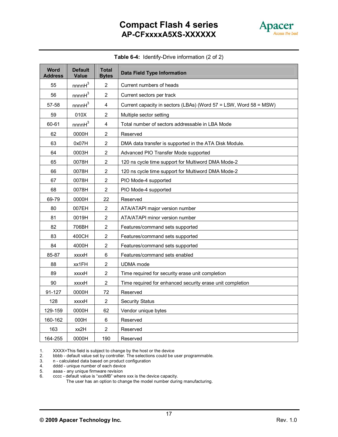

| Table 6-4: Identify-Drive information (2 of 2) |
|------------------------------------------------|

| <b>Word</b><br><b>Address</b> | <b>Default</b><br>Value | <b>Total</b><br><b>Bytes</b> | <b>Data Field Type Information</b>                                |
|-------------------------------|-------------------------|------------------------------|-------------------------------------------------------------------|
| 55                            | nnnnH <sup>3</sup>      | $\overline{2}$               | Current numbers of heads                                          |
| 56                            | nnnnH <sup>3</sup>      | $\overline{2}$               | Current sectors per track                                         |
| 57-58                         | nnnnH <sup>3</sup>      | $\overline{4}$               | Current capacity in sectors (LBAs) (Word 57 = LSW, Word 58 = MSW) |
| 59                            | 010X                    | $\overline{2}$               | Multiple sector setting                                           |
| 60-61                         | nnnnH <sup>3</sup>      | $\overline{\mathbf{4}}$      | Total number of sectors addressable in LBA Mode                   |
| 62                            | 0000H                   | $\overline{2}$               | Reserved                                                          |
| 63                            | 0x07H                   | $\overline{2}$               | DMA data transfer is supported in the ATA Disk Module.            |
| 64                            | 0003H                   | $\overline{2}$               | Advanced PIO Transfer Mode supported                              |
| 65                            | 0078H                   | $\overline{2}$               | 120 ns cycle time support for Multiword DMA Mode-2                |
| 66                            | 0078H                   | $\overline{2}$               | 120 ns cycle time support for Multiword DMA Mode-2                |
| 67                            | 0078H                   | $\overline{2}$               | PIO Mode-4 supported                                              |
| 68                            | 0078H                   | $\overline{2}$               | PIO Mode-4 supported                                              |
| 69-79                         | 0000H                   | 22                           | Reserved                                                          |
| 80                            | 007EH                   | $\overline{2}$               | ATA/ATAPI major version number                                    |
| 81                            | 0019H                   | $\mathbf 2$                  | ATA/ATAPI minor version number                                    |
| 82                            | 706BH                   | $\overline{2}$               | Features/command sets supported                                   |
| 83                            | 400CH                   | $\overline{2}$               | Features/command sets supported                                   |
| 84                            | 4000H                   | $\overline{2}$               | Features/command sets supported                                   |
| 85-87                         | xxxxH                   | $\,6$                        | Features/command sets enabled                                     |
| 88                            | xx1FH                   | $\overline{2}$               | UDMA mode                                                         |
| 89                            | xxxxH                   | $\overline{2}$               | Time required for security erase unit completion                  |
| 90                            | XXXXH                   | $\overline{c}$               | Time required for enhanced security erase unit completion         |
| 91-127                        | 0000H                   | 72                           | Reserved                                                          |
| 128                           | xxxxH                   | $\overline{2}$               | <b>Security Status</b>                                            |
| 129-159                       | 0000H                   | 62                           | Vendor unique bytes                                               |
| 160-162                       | 000H                    | 6                            | Reserved                                                          |
| 163                           | xx2H                    | 2                            | Reserved                                                          |
| 164-255                       | 0000H                   | 190                          | Reserved                                                          |

1. XXXX=This field is subject to change by the host or the device

2. bbbb - default value set by controller. The selections could be user programmable. 2. bbbb - default value set by controller. The selection<br>3. n - calculated data based on product configuration<br>4. dddd - unique number of each device

4. dddd - unique number of each device

5. aaaa - any unique firmware revision

6. cccc - default value is "xxxMB" where xxx is the device capacity.

The user has an option to change the model number during manufacturing.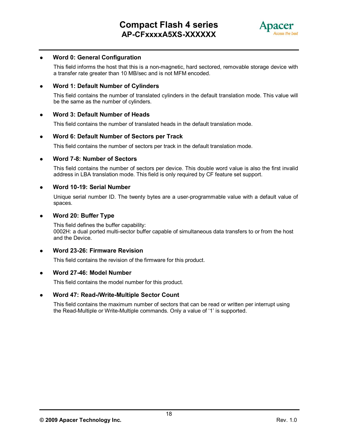

#### **Word 0: General Configuration**

This field informs the host that this is a non-magnetic, hard sectored, removable storage device with a transfer rate greater than 10 MB/sec and is not MFM encoded.

#### **Word 1: Default Number of Cylinders**

This field contains the number of translated cylinders in the default translation mode. This value will be the same as the number of cylinders.

#### **Word 3: Default Number of Heads**

This field contains the number of translated heads in the default translation mode.

#### **Word 6: Default Number of Sectors per Track**

This field contains the number of sectors per track in the default translation mode.

#### **Word 7-8: Number of Sectors**

This field contains the number of sectors per device. This double word value is also the first invalid address in LBA translation mode. This field is only required by CF feature set support.

#### **Word 10-19: Serial Number**

Unique serial number ID. The twenty bytes are a user-programmable value with a default value of spaces.

#### **Word 20: Buffer Type**

This field defines the buffer capability: 0002H: a dual ported multi-sector buffer capable of simultaneous data transfers to or from the host and the Device.

#### **Word 23-26: Firmware Revision**

This field contains the revision of the firmware for this product.

#### **Word 27-46: Model Number**

This field contains the model number for this product.

#### **Word 47: Read-/Write-Multiple Sector Count**

This field contains the maximum number of sectors that can be read or written per interrupt using the Read-Multiple or Write-Multiple commands. Only a value of '1' is supported.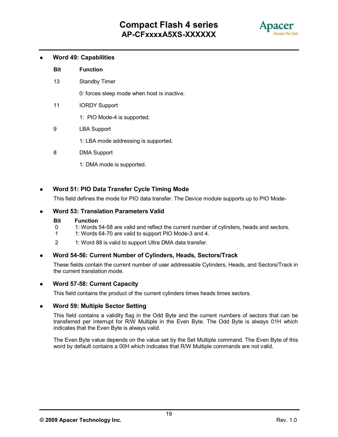

#### **Word 49: Capabilities**

#### **Bit Function**

13 Standby Timer

0: forces sleep mode when host is inactive.

- 11 IORDY Support
	- 1: PIO Mode-4 is supported.
- 9 LBA Support

1: LBA mode addressing is supported.

- 8 DMA Support
	- 1: DMA mode is supported.

#### **Word 51: PIO Data Transfer Cycle Timing Mode**

This field defines the mode for PIO data transfer. The Device module supports up to PIO Mode-

#### **Word 53: Translation Parameters Valid**

#### **Bit Function**

- 0 1: Words 54-58 are valid and reflect the current number of cylinders, heads and sectors.
- 1 1: Words 64-70 are valid to support PIO Mode-3 and 4.
- 2 1: Word 88 is valid to support Ultra DMA data transfer.

#### **Word 54-56: Current Number of Cylinders, Heads, Sectors/Track**

These fields contain the current number of user addressable Cylinders, Heads, and Sectors/Track in the current translation mode.

#### **Word 57-58: Current Capacity**

This field contains the product of the current cylinders times heads times sectors.

#### **Word 59: Multiple Sector Setting**

This field contains a validity flag in the Odd Byte and the current numbers of sectors that can be transferred per interrupt for R/W Multiple in the Even Byte. The Odd Byte is always 01H which indicates that the Even Byte is always valid.

The Even Byte value depends on the value set by the Set Multiple command. The Even Byte of this word by default contains a 00H which indicates that R/W Multiple commands are not valid.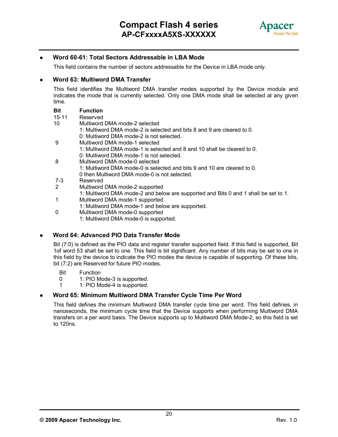

#### **Word 60-61: Total Sectors Addressable in LBA Mode**

This field contains the number of sectors addressable for the Device in LBA mode only.

#### **Word 63: Multiword DMA Transfer**

This field identifies the Multiword DMA transfer modes supported by the Device module and indicates the mode that is currently selected. Only one DMA mode shall be selected at any given time.

#### **Bit Function**

- 15-11 Reserved
- 10 Multiword DMA mode-2 selected
	- 1: Multiword DMA mode-2 is selected and bits 8 and 9 are cleared to 0.
	- 0: Multiword DMA mode-2 is not selected.
- 9 Multiword DMA mode-1 selected
	- 1: Multiword DMA mode-1 is selected and 8 and 10 shall be cleared to 0.
	- 0: Multiword DMA mode-1 is not selected.
- 8 Multiword DMA mode-0 selected
	- 1: Multiword DMA mode-0 is selected and bits 9 and 10 are cleared to 0. 0 then Multiword DMA mode-0 is not selected.
- 7-3 Reserved
- 2 Multiword DMA mode-2 supported
	- 1: Multiword DMA mode-2 and below are supported and Bits 0 and 1 shall be set to 1.
- 1 Multiword DMA mode-1 supported
	- 1: Multiword DMA mode-1 and below are supported.
- 0 Multiword DMA mode-0 supported
	- 1: Multiword DMA mode-0 is supported.

#### **Word 64: Advanced PIO Data Transfer Mode**

Bit (7:0) is defined as the PIO data and register transfer supported field. If this field is supported, Bit 1of word 53 shall be set to one. This field is bit significant. Any number of bits may be set to one in this field by the device to indicate the PIO modes the device is capable of supporting. Of these bits, bit (7:2) are Reserved for future PIO modes.

- Bit Function<br>0 1: PIO M
- 0 1: PIO Mode-3 is supported.<br>1 1: PIO Mode-4 is supported.
- 1: PIO Mode-4 is supported.

#### **Word 65: Minimum Multiword DMA Transfer Cycle Time Per Word**

This field defines the minimum Multiword DMA transfer cycle time per word. This field defines, in nanoseconds, the minimum cycle time that the Device supports when performing Multiword DMA transfers on a per word basis. The Device supports up to Multiword DMA Mode-2, so this field is set to 120ns.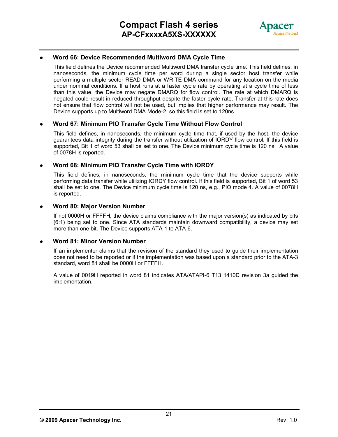

#### **Word 66: Device Recommended Multiword DMA Cycle Time**

This field defines the Device recommended Multiword DMA transfer cycle time. This field defines, in nanoseconds, the minimum cycle time per word during a single sector host transfer while performing a multiple sector READ DMA or WRITE DMA command for any location on the media under nominal conditions. If a host runs at a faster cycle rate by operating at a cycle time of less than this value, the Device may negate DMARQ for flow control. The rate at which DMARQ is negated could result in reduced throughput despite the faster cycle rate. Transfer at this rate does not ensure that flow control will not be used, but implies that higher performance may result. The Device supports up to Multiword DMA Mode-2, so this field is set to 120ns.

#### **Word 67: Minimum PIO Transfer Cycle Time Without Flow Control**

This field defines, in nanoseconds, the minimum cycle time that, if used by the host, the device guarantees data integrity during the transfer without utilization of IORDY flow control. If this field is supported, Bit 1 of word 53 shall be set to one. The Device minimum cycle time is 120 ns. A value of 0078H is reported.

#### **Word 68: Minimum PIO Transfer Cycle Time with IORDY**

This field defines, in nanoseconds, the minimum cycle time that the device supports while performing data transfer while utilizing IORDY flow control. If this field is supported, Bit 1 of word 53 shall be set to one. The Device minimum cycle time is 120 ns, e.g., PIO mode 4. A value of 0078H is reported.

#### **Word 80: Major Version Number**

If not 0000H or FFFFH, the device claims compliance with the major version(s) as indicated by bits (6:1) being set to one. Since ATA standards maintain downward compatibility, a device may set more than one bit. The Device supports ATA-1 to ATA-6.

#### **Word 81: Minor Version Number**

If an implementer claims that the revision of the standard they used to guide their implementation does not need to be reported or if the implementation was based upon a standard prior to the ATA-3 standard, word 81 shall be 0000H or FFFFH.

A value of 0019H reported in word 81 indicates ATA/ATAPI-6 T13 1410D revision 3a guided the implementation.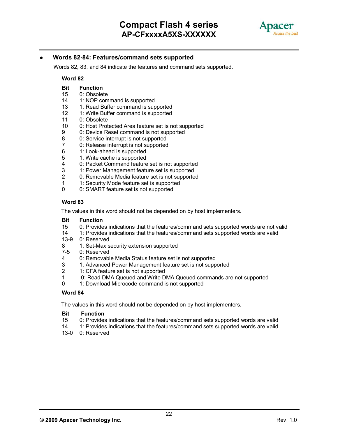

#### **Words 82-84: Features/command sets supported**

Words 82, 83, and 84 indicate the features and command sets supported.

#### **Word 82**

#### **Bit Function**

- 15 0: Obsolete
- 14 1: NOP command is supported
- 13 1: Read Buffer command is supported<br>12 1: Write Buffer command is supported
- 12 1: Write Buffer command is supported
- 11 0: Obsolete
- 10 0: Host Protected Area feature set is not supported
- 9 0: Device Reset command is not supported
- 8 0: Service interrupt is not supported
- 7 0: Release interrupt is not supported<br>6 1: Look-ahead is supported
- 1: Look-ahead is supported
- 5 1: Write cache is supported<br>4 0: Packet Command feature
- 4 0: Packet Command feature set is not supported<br>3 1: Power Management feature set is supported
- 3 1: Power Management feature set is supported<br>2 0: Removable Media feature set is not supporte
- 0: Removable Media feature set is not supported
- 1 1: Security Mode feature set is supported<br>0 0: SMART feature set is not supported
- 0: SMART feature set is not supported

#### **Word 83**

The values in this word should not be depended on by host implementers.

#### **Bit Function**

- 15 0: Provides indications that the features/command sets supported words are not valid
- 14 1: Provides indications that the features/command sets supported words are valid
- 13-9 0: Reserved<br>8 1: Set-Max s
- 8 1: Set-Max security extension supported<br>7-5 0: Reserved
- 0: Reserved
- 4 0: Removable Media Status feature set is not supported
- 3 1: Advanced Power Management feature set is not supported
- 2 1: CFA feature set is not supported
- 1 0: Read DMA Queued and Write DMA Queued commands are not supported
- 0 1: Download Microcode command is not supported

#### **Word 84**

The values in this word should not be depended on by host implementers.

#### **Bit Function**

- 15 0: Provides indications that the features/command sets supported words are valid
- 14 1: Provides indications that the features/command sets supported words are valid
- 13-0 0: Reserved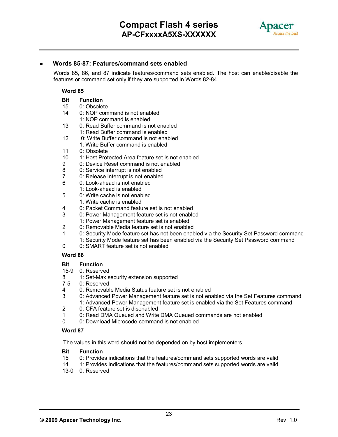

#### **Words 85-87: Features/command sets enabled**

Words 85, 86, and 87 indicate features/command sets enabled. The host can enable/disable the features or command set only if they are supported in Words 82-84.

#### **Word 85**

#### **Bit Function**

- 15 0: Obsolete<br>14 0: NOP com
- 0: NOP command is not enabled
	- 1: NOP command is enabled
- 13 0: Read Buffer command is not enabled
	- 1: Read Buffer command is enabled
- 12 0: Write Buffer command is not enabled
	- 1: Write Buffer command is enabled
- 11 0: Obsolete
- 10 1: Host Protected Area feature set is not enabled
- 9 0: Device Reset command is not enabled
- 8 0: Service interrupt is not enabled
- 7 0: Release interrupt is not enabled<br>6  $0:$  Look-ahead is not enabled
- 0: Look-ahead is not enabled
- 1: Look-ahead is enabled
- 5 0: Write cache is not enabled
	- 1: Write cache is enabled
- 4 0: Packet Command feature set is not enabled
- 3 0: Power Management feature set is not enabled
	- 1: Power Management feature set is enabled
- 2 0: Removable Media feature set is not enabled
- 1 0: Security Mode feature set has not been enabled via the Security Set Password command
	- 1: Security Mode feature set has been enabled via the Security Set Password command
- 0 0: SMART feature set is not enabled

#### **Word 86**

#### **Bit Function**

- 15-9 0: Reserved
- 8 1: Set-Max security extension supported<br>7-5 0: Reserved
- 0: Reserved
- 4 0: Removable Media Status feature set is not enabled
- 3 0: Advanced Power Management feature set is not enabled via the Set Features command
	- 1: Advanced Power Management feature set is enabled via the Set Features command
- 2 0: CFA feature set is disenabled<br>1 0: Read DMA Queued and Write
- 1 0: Read DMA Queued and Write DMA Queued commands are not enabled<br>0 0: Download Microcode command is not enabled
- 0: Download Microcode command is not enabled

#### **Word 87**

The values in this word should not be depended on by host implementers.

# **Bit Function**<br>15 0: Provide

- 0: Provides indications that the features/command sets supported words are valid
- 14 1: Provides indications that the features/command sets supported words are valid
- 13-0 0: Reserved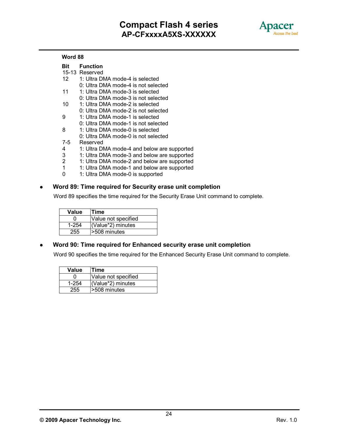

#### **Word 88**

#### **Bit Function**

- 15-13 Reserved
- 12 1: Ultra DMA mode-4 is selected
	- 0: Ultra DMA mode-4 is not selected
- 11 1: Ultra DMA mode-3 is selected
- 0: Ultra DMA mode-3 is not selected
- 10 1: Ultra DMA mode-2 is selected
	- 0: Ultra DMA mode-2 is not selected
- 9 1: Ultra DMA mode-1 is selected
- 0: Ultra DMA mode-1 is not selected
- 8 1: Ultra DMA mode-0 is selected
- 0: Ultra DMA mode-0 is not selected
- 7-5 Reserved
- 4 1: Ultra DMA mode-4 and below are supported
- 3 1: Ultra DMA mode-3 and below are supported
- 2 1: Ultra DMA mode-2 and below are supported
- 1 1: Ultra DMA mode-1 and below are supported
- 0 1: Ultra DMA mode-0 is supported

#### **Word 89: Time required for Security erase unit completion**

Word 89 specifies the time required for the Security Erase Unit command to complete.

| Value | Time                |
|-------|---------------------|
|       | Value not specified |
| 1-254 | (Value*2) minutes   |
| 255   | -508 minutes        |

#### **Word 90: Time required for Enhanced security erase unit completion**

Word 90 specifies the time required for the Enhanced Security Erase Unit command to complete.

| Value     | Time                |
|-----------|---------------------|
| 0         | Value not specified |
| $1 - 254$ | (Value*2) minutes   |
| 255       | >508 minutes        |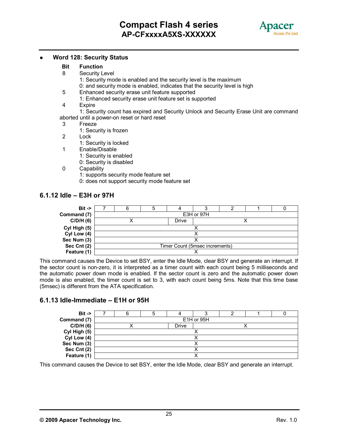

#### **Word 128: Security Status**

#### **Bit Function**

- 8 Security Level
	- 1: Security mode is enabled and the security level is the maximum 0: and security mode is enabled, indicates that the security level is high
- 5 Enhanced security erase unit feature supported 1: Enhanced security erase unit feature set is supported
- 4 Expire

1: Security count has expired and Security Unlock and Security Erase Unit are command aborted until a power-on reset or hard reset

- 3 Freeze
	- 1: Security is frozen
- 2 Lock
	- 1: Security is locked
- 1 Enable/Disable
	- 1: Security is enabled
	- 0: Security is disabled
- 0 Capability
	- 1: supports security mode feature set
	- 0: does not support security mode feature set

#### **6.1.12 Idle – E3H or 97H**

| $Bit \rightarrow$ |                                |  |       |            |  |  |  |  |
|-------------------|--------------------------------|--|-------|------------|--|--|--|--|
| Command (7)       |                                |  |       | E3H or 97H |  |  |  |  |
| C/D/H(6)          |                                |  | Drive |            |  |  |  |  |
| Cyl High (5)      |                                |  |       |            |  |  |  |  |
| Cyl Low (4)       |                                |  |       |            |  |  |  |  |
| Sec Num (3)       |                                |  |       |            |  |  |  |  |
| Sec Cnt (2)       | Timer Count (5msec increments) |  |       |            |  |  |  |  |
| Feature (1)       |                                |  |       |            |  |  |  |  |

This command causes the Device to set BSY, enter the Idle Mode, clear BSY and generate an interrupt. If the sector count is non-zero, it is interpreted as a timer count with each count being 5 milliseconds and the automatic power down mode is enabled. If the sector count is zero and the automatic power down mode is also enabled, the timer count is set to 3, with each count being 5ms. Note that this time base (5msec) is different from the ATA specification.

#### **6.1.13 Idle-Immediate – E1H or 95H**



This command causes the Device to set BSY, enter the Idle Mode, clear BSY and generate an interrupt.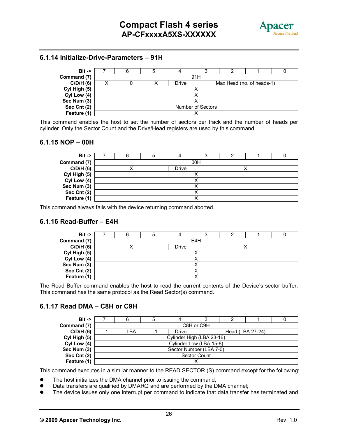

#### **6.1.14 Initialize-Drive-Parameters – 91H**



This command enables the host to set the number of sectors per track and the number of heads per cylinder. Only the Sector Count and the Drive/Head registers are used by this command.

#### **6.1.15 NOP – 00H**

| $Bit ->$     |  |  |       |     |  |  |  |  |
|--------------|--|--|-------|-----|--|--|--|--|
| Command (7)  |  |  |       | 00H |  |  |  |  |
| C/D/H(6)     |  |  | Drive |     |  |  |  |  |
| Cyl High (5) |  |  |       |     |  |  |  |  |
| Cyl Low (4)  |  |  |       |     |  |  |  |  |
| Sec Num (3)  |  |  |       |     |  |  |  |  |
| Sec Cnt (2)  |  |  |       |     |  |  |  |  |
| Feature (1)  |  |  |       |     |  |  |  |  |

This command always fails with the device returning command aborted.

#### **6.1.16 Read-Buffer – E4H**

| $Bit -$      |  |       |     |  |  |
|--------------|--|-------|-----|--|--|
| Command (7)  |  |       | E4H |  |  |
| C/D/H(6)     |  | Drive |     |  |  |
| Cyl High (5) |  |       |     |  |  |
| Cyl Low (4)  |  |       |     |  |  |
| Sec Num (3)  |  |       |     |  |  |
| Sec Cnt (2)  |  |       |     |  |  |
| Feature (1)  |  |       |     |  |  |

The Read Buffer command enables the host to read the current contents of the Device's sector buffer. This command has the same protocol as the Read Sector(s) command.

#### **6.1.17 Read DMA – C8H or C9H**

| $Bit -$      | 6                         |  |       |                         |                  |  |  |  |  |  |
|--------------|---------------------------|--|-------|-------------------------|------------------|--|--|--|--|--|
| Command (7)  | C8H or C9H                |  |       |                         |                  |  |  |  |  |  |
| C/D/H(6)     | _BA                       |  | Drive |                         | Head (LBA 27-24) |  |  |  |  |  |
| Cyl High (5) | Cylinder High (LBA 23-16) |  |       |                         |                  |  |  |  |  |  |
| Cyl Low (4)  |                           |  |       | Cylinder Low (LBA 15-8) |                  |  |  |  |  |  |
| Sec Num (3)  | Sector Number (LBA 7-0)   |  |       |                         |                  |  |  |  |  |  |
| Sec Cnt (2)  | Sector Count              |  |       |                         |                  |  |  |  |  |  |
| Feature (1)  |                           |  |       |                         |                  |  |  |  |  |  |

This command executes in a similar manner to the READ SECTOR (S) command except for the following:

- The host initializes the DMA channel prior to issuing the command;
- Data transfers are qualified by DMARQ and are performed by the DMA channel;
- The device issues only one interrupt per command to indicate that data transfer has terminated and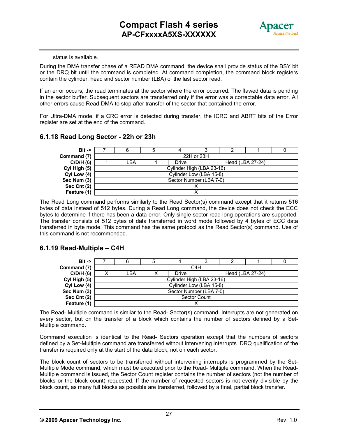

#### status is available.

During the DMA transfer phase of a READ DMA command, the device shall provide status of the BSY bit or the DRQ bit until the command is completed. At command completion, the command block registers contain the cylinder, head and sector number (LBA) of the last sector read.

If an error occurs, the read terminates at the sector where the error occurred. The flawed data is pending in the sector buffer. Subsequent sectors are transferred only if the error was a correctable data error. All other errors cause Read-DMA to stop after transfer of the sector that contained the error.

For Ultra-DMA mode, if a CRC error is detected during transfer, the ICRC and ABRT bits of the Error register are set at the end of the command.

#### **6.1.18 Read Long Sector - 22h or 23h**



The Read Long command performs similarly to the Read Sector(s) command except that it returns 516 bytes of data instead of 512 bytes. During a Read Long command, the device does not check the ECC bytes to determine if there has been a data error. Only single sector read long operations are supported. The transfer consists of 512 bytes of data transferred in word mode followed by 4 bytes of ECC data transferred in byte mode. This command has the same protocol as the Read Sector(s) command. Use of this command is not recommended.

#### **6.1.19 Read-Multiple – C4H**

| $Bit \rightarrow$ |                           |   |       |                         |                  |  |  |  |  |
|-------------------|---------------------------|---|-------|-------------------------|------------------|--|--|--|--|
| Command (7)       |                           |   |       | C4H                     |                  |  |  |  |  |
| C/D/H(6)          | _BA                       | х | Drive |                         | Head (LBA 27-24) |  |  |  |  |
| Cyl High (5)      | Cylinder High (LBA 23-16) |   |       |                         |                  |  |  |  |  |
| Cyl Low (4)       |                           |   |       | Cylinder Low (LBA 15-8) |                  |  |  |  |  |
| Sec Num (3)       | Sector Number (LBA 7-0)   |   |       |                         |                  |  |  |  |  |
| Sec Cnt (2)       | Sector Count              |   |       |                         |                  |  |  |  |  |
| Feature (1)       |                           |   |       |                         |                  |  |  |  |  |

The Read- Multiple command is similar to the Read- Sector(s) command. Interrupts are not generated on every sector, but on the transfer of a block which contains the number of sectors defined by a Set-Multiple command.

Command execution is identical to the Read- Sectors operation except that the numbers of sectors defined by a Set-Multiple command are transferred without intervening interrupts. DRQ qualification of the transfer is required only at the start of the data block, not on each sector.

The block count of sectors to be transferred without intervening interrupts is programmed by the Set-Multiple Mode command, which must be executed prior to the Read- Multiple command. When the Read-Multiple command is issued, the Sector Count register contains the number of sectors (not the number of blocks or the block count) requested. If the number of requested sectors is not evenly divisible by the block count, as many full blocks as possible are transferred, followed by a final, partial block transfer.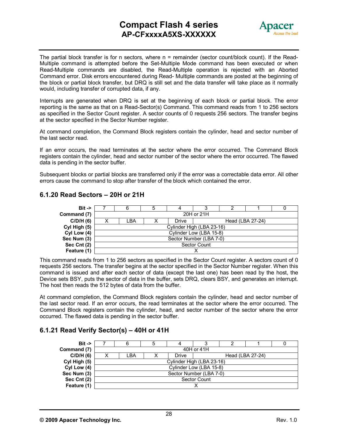# **Compact Flash 4 series AP-CFxxxxA5XS-XXXXXX**



The partial block transfer is for n sectors, where n = remainder (sector count/block count). If the Read-Multiple command is attempted before the Set-Multiple Mode command has been executed or when Read-Multiple commands are disabled, the Read-Multiple operation is rejected with an Aborted Command error. Disk errors encountered during Read- Multiple commands are posted at the beginning of the block or partial block transfer, but DRQ is still set and the data transfer will take place as it normally would, including transfer of corrupted data, if any.

Interrupts are generated when DRQ is set at the beginning of each block or partial block. The error reporting is the same as that on a Read-Sector(s) Command. This command reads from 1 to 256 sectors as specified in the Sector Count register. A sector counts of 0 requests 256 sectors. The transfer begins at the sector specified in the Sector Number register.

At command completion, the Command Block registers contain the cylinder, head and sector number of the last sector read.

If an error occurs, the read terminates at the sector where the error occurred. The Command Block registers contain the cylinder, head and sector number of the sector where the error occurred. The flawed data is pending in the sector buffer.

Subsequent blocks or partial blocks are transferred only if the error was a correctable data error. All other errors cause the command to stop after transfer of the block which contained the error.

| $Bit \rightarrow$ |   |                           |  |       |                         |                  |  |  |  |  |
|-------------------|---|---------------------------|--|-------|-------------------------|------------------|--|--|--|--|
| Command (7)       |   |                           |  |       | 20H or 21H              |                  |  |  |  |  |
| C/D/H(6)          | х | LBA                       |  | Drive |                         | Head (LBA 27-24) |  |  |  |  |
| Cyl High (5)      |   | Cylinder High (LBA 23-16) |  |       |                         |                  |  |  |  |  |
| Cyl Low (4)       |   |                           |  |       | Cylinder Low (LBA 15-8) |                  |  |  |  |  |
| Sec Num (3)       |   | Sector Number (LBA 7-0)   |  |       |                         |                  |  |  |  |  |
| Sec Cnt (2)       |   | Sector Count              |  |       |                         |                  |  |  |  |  |
| Feature (1)       |   |                           |  |       |                         |                  |  |  |  |  |

#### **6.1.20 Read Sectors – 20H or 21H**

This command reads from 1 to 256 sectors as specified in the Sector Count register. A sectors count of 0 requests 256 sectors. The transfer begins at the sector specified in the Sector Number register. When this command is issued and after each sector of data (except the last one) has been read by the host, the Device sets BSY, puts the sector of data in the buffer, sets DRQ, clears BSY, and generates an interrupt. The host then reads the 512 bytes of data from the buffer.

At command completion, the Command Block registers contain the cylinder, head and sector number of the last sector read. If an error occurs, the read terminates at the sector where the error occurred. The Command Block registers contain the cylinder, head, and sector number of the sector where the error occurred. The flawed data is pending in the sector buffer.

#### **6.1.21 Read Verify Sector(s) – 40H or 41H**

| $Bit \rightarrow$ |                           |  |       |  |                  |  |  |  |  |
|-------------------|---------------------------|--|-------|--|------------------|--|--|--|--|
| Command (7)       | 40H or 41H                |  |       |  |                  |  |  |  |  |
| C/D/H(6)          | LBA                       |  | Drive |  | Head (LBA 27-24) |  |  |  |  |
| Cyl High (5)      | Cylinder High (LBA 23-16) |  |       |  |                  |  |  |  |  |
| Cyl Low (4)       | Cylinder Low (LBA 15-8)   |  |       |  |                  |  |  |  |  |
| Sec Num (3)       | Sector Number (LBA 7-0)   |  |       |  |                  |  |  |  |  |
| Sec Cnt $(2)$     | Sector Count              |  |       |  |                  |  |  |  |  |
| Feature (1)       |                           |  |       |  |                  |  |  |  |  |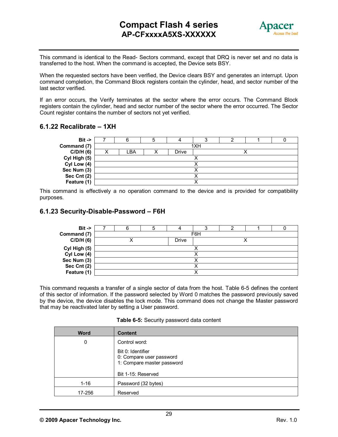

 This command is identical to the Read- Sectors command, except that DRQ is never set and no data is transferred to the host. When the command is accepted, the Device sets BSY.

When the requested sectors have been verified, the Device clears BSY and generates an interrupt. Upon command completion, the Command Block registers contain the cylinder, head, and sector number of the last sector verified.

If an error occurs, the Verify terminates at the sector where the error occurs. The Command Block registers contain the cylinder, head and sector number of the sector where the error occurred. The Sector Count register contains the number of sectors not yet verified.

#### **6.1.22 Recalibrate – 1XH**



This command is effectively a no operation command to the device and is provided for compatibility purposes.

#### **6.1.23 Security-Disable-Password – F6H**



This command requests a transfer of a single sector of data from the host. Table 6-5 defines the content of this sector of information. If the password selected by Word 0 matches the password previously saved by the device, the device disables the lock mode. This command does not change the Master password that may be reactivated later by setting a User password.

|  | Table 6-5: Security password data content |
|--|-------------------------------------------|
|--|-------------------------------------------|

| <b>Word</b> | <b>Content</b>                                                 |
|-------------|----------------------------------------------------------------|
| 0           | Control word:<br>Bit 0: Identifier<br>0: Compare user password |
|             | 1: Compare master password<br>Bit 1-15: Reserved               |
| $1 - 16$    | Password (32 bytes)                                            |
| 17-256      | Reserved                                                       |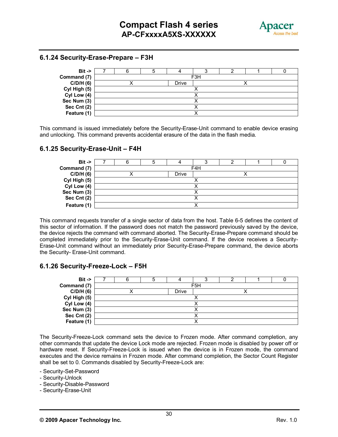

#### **6.1.24 Security-Erase-Prepare – F3H**



This command is issued immediately before the Security-Erase-Unit command to enable device erasing and unlocking. This command prevents accidental erasure of the data in the flash media.

#### **6.1.25 Security-Erase-Unit – F4H**



This command requests transfer of a single sector of data from the host. Table 6-5 defines the content of this sector of information. If the password does not match the password previously saved by the device, the device rejects the command with command aborted. The Security-Erase-Prepare command should be completed immediately prior to the Security-Erase-Unit command. If the device receives a Security-Erase-Unit command without an immediately prior Security-Erase-Prepare command, the device aborts the Security- Erase-Unit command.

#### **6.1.26 Security-Freeze-Lock – F5H**

| $Bit -$      |  |              |                  |  |  |
|--------------|--|--------------|------------------|--|--|
| Command (7)  |  |              | F <sub>5</sub> H |  |  |
| C/D/H(6)     |  | <b>Drive</b> |                  |  |  |
| Cyl High (5) |  |              |                  |  |  |
| Cyl Low (4)  |  |              |                  |  |  |
| Sec Num (3)  |  |              |                  |  |  |
| Sec Cnt (2)  |  |              |                  |  |  |
| Feature (1)  |  |              |                  |  |  |

The Security-Freeze-Lock command sets the device to Frozen mode. After command completion, any other commands that update the device Lock mode are rejected. Frozen mode is disabled by power off or hardware reset. If Security-Freeze-Lock is issued when the device is in Frozen mode, the command executes and the device remains in Frozen mode. After command completion, the Sector Count Register shall be set to 0. Commands disabled by Security-Freeze-Lock are:

- Security-Set-Password

- Security-Unlock

- Security-Disable-Password

- Security-Erase-Unit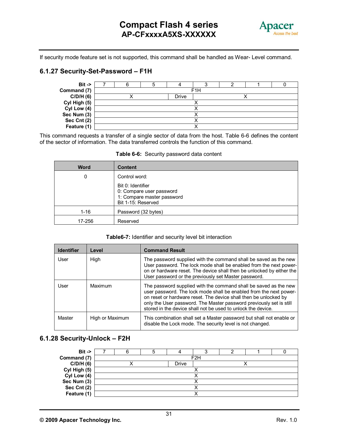

If security mode feature set is not supported, this command shall be handled as Wear- Level command.

#### **6.1.27 Security-Set-Password – F1H**



This command requests a transfer of a single sector of data from the host. Table 6-6 defines the content of the sector of information. The data transferred controls the function of this command.

| <b>Word</b> | <b>Content</b>                                                                                    |
|-------------|---------------------------------------------------------------------------------------------------|
| 0           | Control word:                                                                                     |
|             | Bit 0: Identifier<br>0: Compare user password<br>1: Compare master password<br>Bit 1-15: Reserved |
| $1 - 16$    | Password (32 bytes)                                                                               |
| 17-256      | Reserved                                                                                          |

#### **Table 6-6:** Security password data content

#### **Table6-7:** Identifier and security level bit interaction

| <b>Identifier</b> | Level           | <b>Command Result</b>                                                                                                                                                                                                                                                                                                                             |
|-------------------|-----------------|---------------------------------------------------------------------------------------------------------------------------------------------------------------------------------------------------------------------------------------------------------------------------------------------------------------------------------------------------|
| User              | High            | The password supplied with the command shall be saved as the new<br>User password. The lock mode shall be enabled from the next power-<br>on or hardware reset. The device shall then be unlocked by either the<br>User password or the previously set Master password.                                                                           |
| User              | Maximum         | The password supplied with the command shall be saved as the new<br>user password. The lock mode shall be enabled from the next power-<br>on reset or hardware reset. The device shall then be unlocked by<br>only the User password. The Master password previously set is still<br>stored in the device shall not be used to unlock the device. |
| Master            | High or Maximum | This combination shall set a Master password but shall not enable or<br>disable the Lock mode. The security level is not changed.                                                                                                                                                                                                                 |

#### **6.1.28 Security-Unlock – F2H**

| $Bit ->$     |  |              |                  |  |  |
|--------------|--|--------------|------------------|--|--|
| Command (7)  |  |              | F <sub>2</sub> H |  |  |
| C/D/H(6)     |  | <b>Drive</b> |                  |  |  |
| Cyl High (5) |  |              |                  |  |  |
| Cyl Low (4)  |  |              |                  |  |  |
| Sec Num (3)  |  |              |                  |  |  |
| Sec Cnt (2)  |  |              |                  |  |  |
| Feature (1)  |  |              |                  |  |  |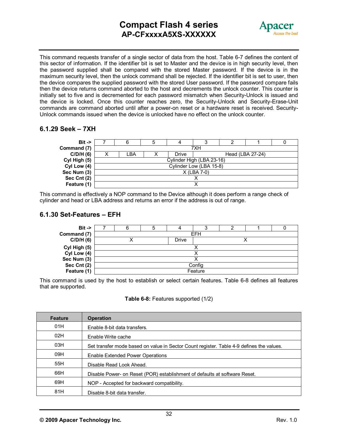# **Compact Flash 4 series AP-CFxxxxA5XS-XXXXXX**



This command requests transfer of a single sector of data from the host. Table 6-7 defines the content of this sector of information. If the identifier bit is set to Master and the device is in high security level, then the password supplied shall be compared with the stored Master password. If the device is in the maximum security level, then the unlock command shall be rejected. If the identifier bit is set to user, then the device compares the supplied password with the stored User password. If the password compare fails then the device returns command aborted to the host and decrements the unlock counter. This counter is initially set to five and is decremented for each password mismatch when Security-Unlock is issued and the device is locked. Once this counter reaches zero, the Security-Unlock and Security-Erase-Unit commands are command aborted until after a power-on reset or a hardware reset is received. Security-Unlock commands issued when the device is unlocked have no effect on the unlock counter.

#### **6.1.29 Seek – 7XH**



This command is effectively a NOP command to the Device although it does perform a range check of cylinder and head or LBA address and returns an error if the address is out of range.

#### **6.1.30 Set-Features – EFH**

| $Bit -$      |            |  |       | ω |  |  |  |  |  |
|--------------|------------|--|-------|---|--|--|--|--|--|
| Command (7)  | <b>EFH</b> |  |       |   |  |  |  |  |  |
| C/D/H(6)     |            |  | Drive |   |  |  |  |  |  |
| Cyl High (5) |            |  |       |   |  |  |  |  |  |
| Cyl Low (4)  |            |  |       |   |  |  |  |  |  |
| Sec Num (3)  |            |  |       |   |  |  |  |  |  |
| Sec Cnt (2)  | Config     |  |       |   |  |  |  |  |  |
| Feature (1)  | Feature    |  |       |   |  |  |  |  |  |

This command is used by the host to establish or select certain features. Table 6-8 defines all features that are supported.

#### **Table 6-8:** Features supported (1/2)

| <b>Feature</b> | <b>Operation</b>                                                                         |
|----------------|------------------------------------------------------------------------------------------|
| 01H            | Enable 8-bit data transfers.                                                             |
| 02H            | Enable Write cache                                                                       |
| 03H            | Set transfer mode based on value in Sector Count register. Table 4-9 defines the values. |
| 09H            | Enable Extended Power Operations                                                         |
| 55H            | Disable Read Look Ahead.                                                                 |
| 66H            | Disable Power- on Reset (POR) establishment of defaults at software Reset.               |
| 69H            | NOP - Accepted for backward compatibility.                                               |
| 81H            | Disable 8-bit data transfer.                                                             |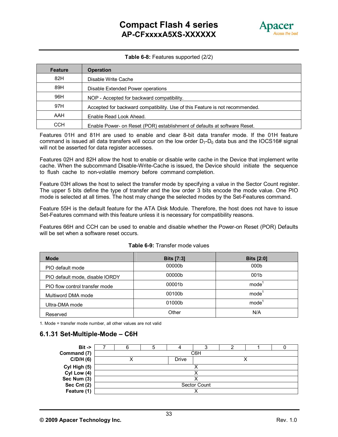

#### **Table 6-8:** Features supported (2/2)

| <b>Feature</b> | <b>Operation</b>                                                             |
|----------------|------------------------------------------------------------------------------|
| 82H            | Disable Write Cache                                                          |
| 89H            | Disable Extended Power operations                                            |
| 96H            | NOP - Accepted for backward compatibility.                                   |
| 97H            | Accepted for backward compatibility. Use of this Feature is not recommended. |
| AAH            | Enable Read Look Ahead.                                                      |
| CCH            | Enable Power- on Reset (POR) establishment of defaults at software Reset.    |

Features 01H and 81H are used to enable and clear 8-bit data transfer mode. If the 01H feature command is issued all data transfers will occur on the low order  $D_7$ - $D_0$  data bus and the IOCS16# signal will not be asserted for data register accesses.

Features 02H and 82H allow the host to enable or disable write cache in the Device that implement write cache. When the subcommand Disable-Write-Cache is issued, the Device should initiate the sequence to flush cache to non-volatile memory before command completion.

Feature 03H allows the host to select the transfer mode by specifying a value in the Sector Count register. The upper 5 bits define the type of transfer and the low order 3 bits encode the mode value. One PIO mode is selected at all times. The host may change the selected modes by the Set-Features command.

Feature 55H is the default feature for the ATA Disk Module. Therefore, the host does not have to issue Set-Features command with this feature unless it is necessary for compatibility reasons.

Features 66H and CCH can be used to enable and disable whether the Power-on Reset (POR) Defaults will be set when a software reset occurs.

| <b>Mode</b>                     | <b>Bits [7:3]</b> | <b>Bits [2:0]</b> |
|---------------------------------|-------------------|-------------------|
| PIO default mode                | 00000b            | 000 <sub>b</sub>  |
| PIO default mode, disable IORDY | 00000b            | 001b              |
| PIO flow control transfer mode  | 00001b            | mode <sup>'</sup> |
| Multiword DMA mode              | 00100b            | mode <sup>'</sup> |
| Ultra-DMA mode                  | 01000b            | mode <sup>'</sup> |
| Reserved                        | Other             | N/A               |

#### **Table 6-9:** Transfer mode values

1. Mode = transfer mode number, all other values are not valid

#### **6.1.31 Set-Multiple-Mode – C6H**

| $Bit ->$     |     |  |       |              |  |  |  |  |  |  |  |
|--------------|-----|--|-------|--------------|--|--|--|--|--|--|--|
| Command (7)  | C6H |  |       |              |  |  |  |  |  |  |  |
| C/D/H(6)     |     |  | Drive |              |  |  |  |  |  |  |  |
| Cyl High (5) |     |  |       |              |  |  |  |  |  |  |  |
| Cyl Low (4)  |     |  |       |              |  |  |  |  |  |  |  |
| Sec Num (3)  |     |  |       |              |  |  |  |  |  |  |  |
| Sec Cnt (2)  |     |  |       | Sector Count |  |  |  |  |  |  |  |
| Feature (1)  |     |  |       |              |  |  |  |  |  |  |  |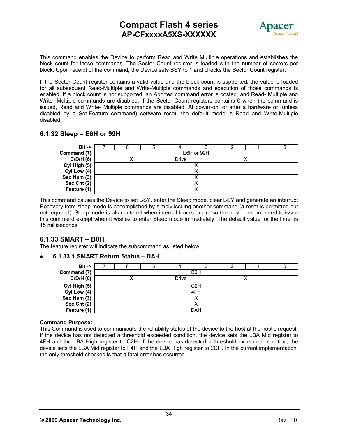

This command enables the Device to perform Read and Write Multiple operations and establishes the block count for these commands. The Sector Count register is loaded with the number of sectors per block. Upon receipt of the command, the Device sets BSY to 1 and checks the Sector Count register.

If the Sector Count register contains a valid value and the block count is supported, the value is loaded for all subsequent Read-Multiple and Write-Multiple commands and execution of those commands is enabled. If a block count is not supported, an Aborted command error is posted, and Read- Multiple and Write- Multiple commands are disabled. If the Sector Count registers contains 0 when the command is issued, Read and Write- Multiple commands are disabled. At power-on, or after a hardware or (unless disabled by a Set-Feature command) software reset, the default mode is Read and Write-Multiple disabled.

#### **6.1.32 Sleep – E6H or 99H**

| $Bit -$      |  |       |            |  |  |
|--------------|--|-------|------------|--|--|
| Command (7)  |  |       | E6H or 99H |  |  |
| C/D/H(6)     |  | Drive |            |  |  |
| Cyl High (5) |  |       |            |  |  |
| Cyl Low (4)  |  |       |            |  |  |
| Sec Num (3)  |  |       |            |  |  |
| Sec Cnt (2)  |  |       |            |  |  |
| Feature (1)  |  |       |            |  |  |

This command causes the Device to set BSY, enter the Sleep mode, clear BSY and generate an interrupt. Recovery from sleep mode is accomplished by simply issuing another command (a reset is permitted but not required). Sleep mode is also entered when internal timers expire so the host does not need to issue this command except when it wishes to enter Sleep mode immediately. The default value for the timer is 15 milliseconds.

#### **6.1.33 SMART – B0H**

The feature register will indicate the subcommand as listed below.

#### **6.1.33.1 SMART Return Status – DAH**

| $Bit ->$     |             |  |              |     |  |  |  |  |  |  |
|--------------|-------------|--|--------------|-----|--|--|--|--|--|--|
| Command (7)  | <b>B</b> OH |  |              |     |  |  |  |  |  |  |
| C/D/H(6)     |             |  | <b>Drive</b> |     |  |  |  |  |  |  |
| Cyl High (5) | C2H         |  |              |     |  |  |  |  |  |  |
| Cyl Low (4)  |             |  |              | 4FH |  |  |  |  |  |  |
| Sec Num (3)  |             |  |              |     |  |  |  |  |  |  |
| Sec Cnt (2)  |             |  |              |     |  |  |  |  |  |  |
| Feature (1)  |             |  |              | DAH |  |  |  |  |  |  |

#### **Command Purpose:**

This Command is used to communicate the reliability status of the device to the host at the host's request. If the device has not detected a threshold exceeded condition, the device sets the LBA Mid register to 4FH and the LBA High register to C2H. If the device has detected a threshold exceeded condition, the device sets the LBA Mid register to F4H and the LBA High register to 2CH. In the current implementation, the only threshold checked is that a fatal error has occurred.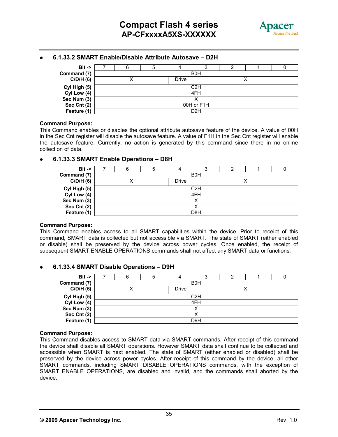

#### **6.1.33.2 SMART Enable/Disable Attribute Autosave – D2H**

| $Bit -$      |            |  |  |                  |  |  |  |  |  |  |
|--------------|------------|--|--|------------------|--|--|--|--|--|--|
| Command (7)  | <b>B0H</b> |  |  |                  |  |  |  |  |  |  |
| C/D/H(6)     | Drive      |  |  |                  |  |  |  |  |  |  |
| Cyl High (5) | C2H        |  |  |                  |  |  |  |  |  |  |
| Cyl Low (4)  |            |  |  | 4FH              |  |  |  |  |  |  |
| Sec Num (3)  |            |  |  |                  |  |  |  |  |  |  |
| Sec Cnt (2)  | 00H or F1H |  |  |                  |  |  |  |  |  |  |
| Feature (1)  |            |  |  | D <sub>2</sub> H |  |  |  |  |  |  |

#### **Command Purpose:**

This Command enables or disables the optional attribute autosave feature of the device. A value of 00H in the Sec Cnt register will disable the autosave feature. A value of F1H in the Sec Cnt register will enable the autosave feature. Currently, no action is generated by this command since there in no online collection of data.

#### **6.1.33.3 SMART Enable Operations – D8H**

| $Bit ->$     |            |  |       |                  |  |  |  |  |  |  |
|--------------|------------|--|-------|------------------|--|--|--|--|--|--|
| Command (7)  | <b>B0H</b> |  |       |                  |  |  |  |  |  |  |
| C/D/H(6)     |            |  | Drive |                  |  |  |  |  |  |  |
| Cyl High (5) | C2H        |  |       |                  |  |  |  |  |  |  |
| Cyl Low (4)  |            |  |       | 4FH              |  |  |  |  |  |  |
| Sec Num (3)  |            |  |       | ↗                |  |  |  |  |  |  |
| Sec Cnt (2)  |            |  |       |                  |  |  |  |  |  |  |
| Feature (1)  |            |  |       | D <sub>8</sub> H |  |  |  |  |  |  |

#### **Command Purpose:**

This Command enables access to all SMART capabilities within the device. Prior to receipt of this command, SMART data is collected but not accessible via SMART. The state of SMART (either enabled or disable) shall be preserved by the device across power cycles. Once enabled, the receipt of subsequent SMART ENABLE OPERATIONS commands shall not affect any SMART data or functions.

#### **6.1.33.4 SMART Disable Operations – D9H**

| $Bit -$      |            |  |              |     |  |  |  |  |  |
|--------------|------------|--|--------------|-----|--|--|--|--|--|
| Command (7)  | <b>B0H</b> |  |              |     |  |  |  |  |  |
| C/D/H(6)     |            |  | <b>Drive</b> |     |  |  |  |  |  |
| Cyl High (5) | C2H        |  |              |     |  |  |  |  |  |
| Cyl Low (4)  |            |  |              | 4FH |  |  |  |  |  |
| Sec Num (3)  |            |  |              |     |  |  |  |  |  |
| Sec Cnt (2)  |            |  |              |     |  |  |  |  |  |
| Feature (1)  |            |  |              | D9H |  |  |  |  |  |

#### **Command Purpose:**

This Command disables access to SMART data via SMART commands. After receipt of this command the device shall disable all SMART operations. However SMART data shall continue to be collected and accessible when SMART is next enabled. The state of SMART (either enabled or disabled) shall be preserved by the device across power cycles. After receipt of this command by the device, all other SMART commands, including SMART DISABLE OPERATIONS commands, with the exception of SMART ENABLE OPERATIONS, are disabled and invalid, and the commands shall aborted by the device.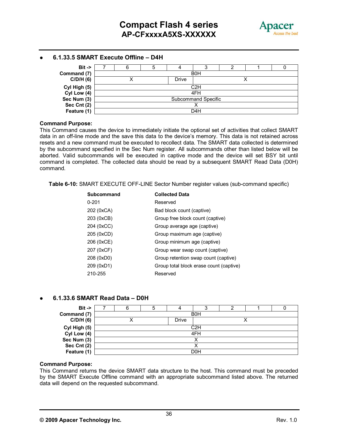

#### **6.1.33.5 SMART Execute Offline – D4H**

| $Bit ->$     |            |  |  | ر،                  |  |  |  |  |  |  |  |
|--------------|------------|--|--|---------------------|--|--|--|--|--|--|--|
| Command (7)  | <b>B0H</b> |  |  |                     |  |  |  |  |  |  |  |
| C/D/H(6)     | Drive      |  |  |                     |  |  |  |  |  |  |  |
| Cyl High (5) | C2H        |  |  |                     |  |  |  |  |  |  |  |
| Cyl Low (4)  |            |  |  | 4FH                 |  |  |  |  |  |  |  |
| Sec Num (3)  |            |  |  | Subcommand Specific |  |  |  |  |  |  |  |
| Sec Cnt (2)  | ↗          |  |  |                     |  |  |  |  |  |  |  |
| Feature (1)  |            |  |  | D4H                 |  |  |  |  |  |  |  |

#### **Command Purpose:**

This Command causes the device to immediately initiate the optional set of activities that collect SMART data in an off-line mode and the save this data to the device's memory. This data is not retained across resets and a new command must be executed to recollect data. The SMART data collected is determined by the subcommand specified in the Sec Num register. All subcommands other than listed below will be aborted. Valid subcommands will be executed in captive mode and the device will set BSY bit until command is completed. The collected data should be read by a subsequent SMART Read Data (D0H) command.

**Table 6-10:** SMART EXECUTE OFF-LINE Sector Number register values (sub-command specific)

| Subcommand | <b>Collected Data</b>                   |
|------------|-----------------------------------------|
| $0 - 201$  | Reserved                                |
| 202 (0xCA) | Bad block count (captive)               |
| 203 (0xCB) | Group free block count (captive)        |
| 204 (0xCC) | Group average age (captive)             |
| 205 (0xCD) | Group maximum age (captive)             |
| 206 (0xCE) | Group minimum age (captive)             |
| 207 (0xCF) | Group wear swap count (captive)         |
| 208 (0xD0) | Group retention swap count (captive)    |
| 209 (0xD1) | Group total block erase count (captive) |
| 210-255    | Reserved                                |

#### **6.1.33.6 SMART Read Data – D0H**

| $Bit ->$     |                  |  |              |                  |  |  |  |  |  |  |
|--------------|------------------|--|--------------|------------------|--|--|--|--|--|--|
| Command (7)  | <b>B0H</b>       |  |              |                  |  |  |  |  |  |  |
| C/D/H(6)     |                  |  | <b>Drive</b> |                  |  |  |  |  |  |  |
| Cyl High (5) | C <sub>2</sub> H |  |              |                  |  |  |  |  |  |  |
| Cyl Low (4)  |                  |  |              | 4FH              |  |  |  |  |  |  |
| Sec Num (3)  |                  |  |              | ↗                |  |  |  |  |  |  |
| Sec Cnt (2)  |                  |  |              |                  |  |  |  |  |  |  |
| Feature (1)  |                  |  |              | D <sub>0</sub> H |  |  |  |  |  |  |

#### **Command Purpose:**

This Command returns the device SMART data structure to the host. This command must be preceded by the SMART Execute Offline command with an appropriate subcommand listed above. The returned data will depend on the requested subcommand.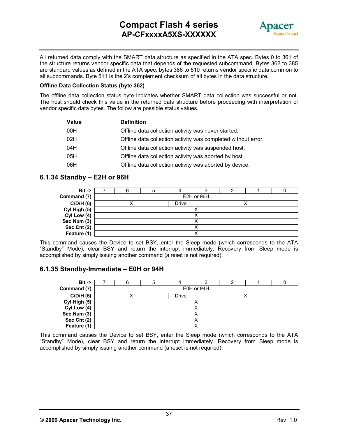# **Compact Flash 4 series AP-CFxxxxA5XS-XXXXXX**



All returned data comply with the SMART data structure as specified in the ATA spec. Bytes 0 to 361 of the structure returns vendor specific data that depends of the requested subcommand. Bytes 362 to 385 are standard values as defined in the ATA spec. bytes 386 to 510 returns vendor specific data common to all subcommands. Byte 511 is the 2's complement checksum of all bytes in the data structure.

#### **Offline Data Collection Status (byte 362)**

The offline data collection status byte indicates whether SMART data collection was successful or not. The host should check this value in the returned data structure before proceeding with interpretation of vendor specific data bytes. The follow are possible status values.

| Value | <b>Definition</b>                                             |
|-------|---------------------------------------------------------------|
| 00H   | Offline data collection activity was never started.           |
| 02H   | Offline data collection activity was completed without error. |
| 04H   | Offline data collection activity was suspended host.          |
| 05H   | Offline data collection activity was aborted by host.         |
| 06H   | Offline data collection activity was aborted by device.       |

#### **6.1.34 Standby – E2H or 96H**

| $Bit -$      |  |       |            |  |  |
|--------------|--|-------|------------|--|--|
| Command (7)  |  |       | E2H or 96H |  |  |
| C/D/H(6)     |  | Drive |            |  |  |
| Cyl High (5) |  |       |            |  |  |
| Cyl Low (4)  |  |       |            |  |  |
| Sec Num (3)  |  |       |            |  |  |
| Sec Cnt (2)  |  |       |            |  |  |
| Feature (1)  |  |       |            |  |  |

This command causes the Device to set BSY, enter the Sleep mode (which corresponds to the ATA "Standby" Mode), clear BSY and return the interrupt immediately. Recovery from Sleep mode is accomplished by simply issuing another command (a reset is not required).

#### **6.1.35 Standby-Immediate – E0H or 94H**



This command causes the Device to set BSY, enter the Sleep mode (which corresponds to the ATA "Standby" Mode), clear BSY and return the interrupt immediately. Recovery from Sleep mode is accomplished by simply issuing another command (a reset is not required).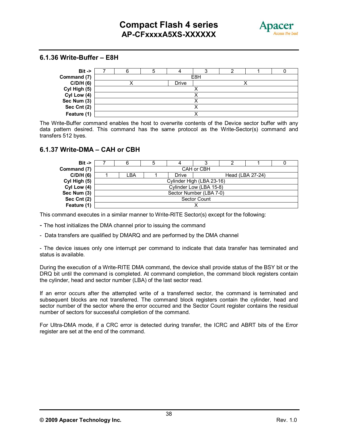

#### **6.1.36 Write-Buffer – E8H**

| $Bit ->$     |  |              |     |  |  |
|--------------|--|--------------|-----|--|--|
| Command (7)  |  |              | E8H |  |  |
| C/D/H(6)     |  | <b>Drive</b> |     |  |  |
| Cyl High (5) |  |              |     |  |  |
| Cyl Low (4)  |  |              |     |  |  |
| Sec Num (3)  |  |              |     |  |  |
| Sec Cnt (2)  |  |              |     |  |  |
| Feature (1)  |  |              |     |  |  |

The Write-Buffer command enables the host to overwrite contents of the Device sector buffer with any data pattern desired. This command has the same protocol as the Write-Sector(s) command and transfers 512 byes.

#### **6.1.37 Write-DMA – CAH or CBH**

| $Bit \rightarrow$ |                                          |  |  |                         |  |  |  |  |  |  |  |
|-------------------|------------------------------------------|--|--|-------------------------|--|--|--|--|--|--|--|
| Command (7)       | CAH or CBH                               |  |  |                         |  |  |  |  |  |  |  |
| C/D/H(6)          | LBA.<br><b>Drive</b><br>Head (LBA 27-24) |  |  |                         |  |  |  |  |  |  |  |
| Cyl High (5)      | Cylinder High (LBA 23-16)                |  |  |                         |  |  |  |  |  |  |  |
| Cyl Low (4)       |                                          |  |  | Cylinder Low (LBA 15-8) |  |  |  |  |  |  |  |
| Sec Num (3)       |                                          |  |  | Sector Number (LBA 7-0) |  |  |  |  |  |  |  |
| Sec Cnt (2)       | <b>Sector Count</b>                      |  |  |                         |  |  |  |  |  |  |  |
| Feature (1)       |                                          |  |  |                         |  |  |  |  |  |  |  |

This command executes in a similar manner to Write-RITE Sector(s) except for the following:

- The host initializes the DMA channel prior to issuing the command
- Data transfers are qualified by DMARQ and are performed by the DMA channel

- The device issues only one interrupt per command to indicate that data transfer has terminated and status is available.

During the execution of a Write-RITE DMA command, the device shall provide status of the BSY bit or the DRQ bit until the command is completed. At command completion, the command block registers contain the cylinder, head and sector number (LBA) of the last sector read.

If an error occurs after the attempted write of a transferred sector, the command is terminated and subsequent blocks are not transferred. The command block registers contain the cylinder, head and sector number of the sector where the error occurred and the Sector Count register contains the residual number of sectors for successful completion of the command.

For Ultra-DMA mode, if a CRC error is detected during transfer, the ICRC and ABRT bits of the Error register are set at the end of the command.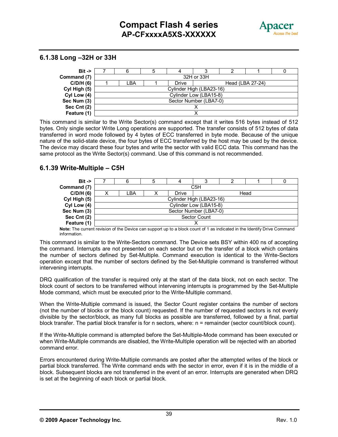

#### **6.1.38 Long –32H or 33H**



This command is similar to the Write Sector(s) command except that it writes 516 bytes instead of 512 bytes. Only single sector Write Long operations are supported. The transfer consists of 512 bytes of data transferred in word mode followed by 4 bytes of ECC transferred in byte mode. Because of the unique nature of the solid-state device, the four bytes of ECC transferred by the host may be used by the device. The device may discard these four bytes and write the sector with valid ECC data. This command has the same protocol as the Write Sector(s) command. Use of this command is not recommended.

#### **6.1.39 Write-Multiple – C5H**



**Note:** The current revision of the Device can support up to a block count of 1 as indicated in the Identify Drive Command information.

This command is similar to the Write-Sectors command. The Device sets BSY within 400 ns of accepting the command. Interrupts are not presented on each sector but on the transfer of a block which contains the number of sectors defined by Set-Multiple. Command execution is identical to the Write-Sectors operation except that the number of sectors defined by the Set-Multiple command is transferred without intervening interrupts.

DRQ qualification of the transfer is required only at the start of the data block, not on each sector. The block count of sectors to be transferred without intervening interrupts is programmed by the Set-Multiple Mode command, which must be executed prior to the Write-Multiple command.

When the Write-Multiple command is issued, the Sector Count register contains the number of sectors (not the number of blocks or the block count) requested. If the number of requested sectors is not evenly divisible by the sector/block, as many full blocks as possible are transferred, followed by a final, partial block transfer. The partial block transfer is for n sectors, where: n = remainder (sector count/block count).

If the Write-Multiple command is attempted before the Set-Multiple-Mode command has been executed or when Write-Multiple commands are disabled, the Write-Multiple operation will be rejected with an aborted command error.

Errors encountered during Write-Multiple commands are posted after the attempted writes of the block or partial block transferred. The Write command ends with the sector in error, even if it is in the middle of a block. Subsequent blocks are not transferred in the event of an error. Interrupts are generated when DRQ is set at the beginning of each block or partial block.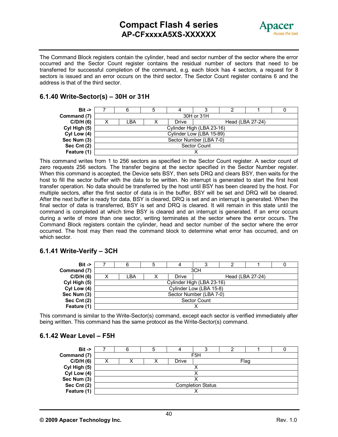# **Compact Flash 4 series AP-CFxxxxA5XS-XXXXXX**



The Command Block registers contain the cylinder, head and sector number of the sector where the error occurred and the Sector Count register contains the residual number of sectors that need to be transferred for successful completion of the command, e.g. each block has 4 sectors, a request for 8 sectors is issued and an error occurs on the third sector. The Sector Count register contains 6 and the address is that of the third sector.

#### **6.1.40 Write-Sector(s) – 30H or 31H**



This command writes from 1 to 256 sectors as specified in the Sector Count register. A sector count of zero requests 256 sectors. The transfer begins at the sector specified in the Sector Number register. When this command is accepted, the Device sets BSY, then sets DRQ and clears BSY, then waits for the host to fill the sector buffer with the data to be written. No interrupt is generated to start the first host transfer operation. No data should be transferred by the host until BSY has been cleared by the host. For multiple sectors, after the first sector of data is in the buffer, BSY will be set and DRQ will be cleared. After the next buffer is ready for data, BSY is cleared, DRQ is set and an interrupt is generated. When the final sector of data is transferred, BSY is set and DRQ is cleared. It will remain in this state until the command is completed at which time BSY is cleared and an interrupt is generated. If an error occurs during a write of more than one sector, writing terminates at the sector where the error occurs. The Command Block registers contain the cylinder, head and sector number of the sector where the error occurred. The host may then read the command block to determine what error has occurred, and on which sector.

#### **6.1.41 Write-Verify – 3CH**

| $Bit \rightarrow$ |                           |  |       |  |                  |  |  |
|-------------------|---------------------------|--|-------|--|------------------|--|--|
| Command (7)       | 3CH                       |  |       |  |                  |  |  |
| C/D/H(6)          | LBA                       |  | Drive |  | Head (LBA 27-24) |  |  |
| Cyl High (5)      | Cylinder High (LBA 23-16) |  |       |  |                  |  |  |
| Cyl Low (4)       | Cylinder Low (LBA 15-8)   |  |       |  |                  |  |  |
| Sec Num (3)       | Sector Number (LBA 7-0)   |  |       |  |                  |  |  |
| Sec Cnt (2)       | Sector Count              |  |       |  |                  |  |  |
| Feature (1)       |                           |  |       |  |                  |  |  |

This command is similar to the Write-Sector(s) command, except each sector is verified immediately after being written. This command has the same protocol as the Write-Sector(s) command.

#### **6.1.42 Wear Level – F5H**

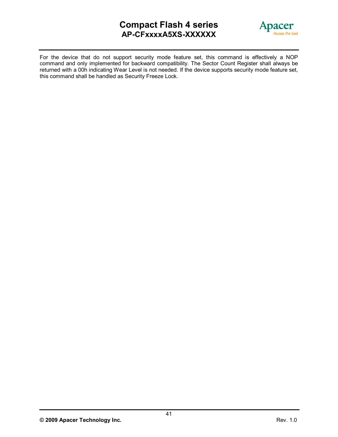# **Compact Flash 4 series AP-CFxxxxA5XS-XXXXXX**



For the device that do not support security mode feature set, this command is effectively a NOP command and only implemented for backward compatibility. The Sector Count Register shall always be returned with a 00h indicating Wear Level is not needed. If the device supports security mode feature set, this command shall be handled as Security Freeze Lock.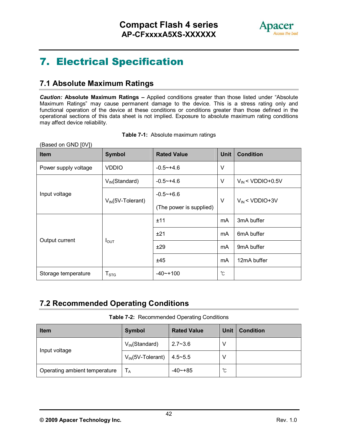

# **7. Electrical Specification**

# **7.1 Absolute Maximum Ratings**

*Caution:* **Absolute Maximum Ratings –** Applied conditions greater than those listed under "Absolute Maximum Ratings" may cause permanent damage to the device. This is a stress rating only and functional operation of the device at these conditions or conditions greater than those defined in the operational sections of this data sheet is not implied. Exposure to absolute maximum rating conditions may affect device reliability.

| Table 7-1: Absolute maximum ratings |  |  |  |
|-------------------------------------|--|--|--|
|-------------------------------------|--|--|--|

(Based on GND [0V])

| <b>Item</b>          | <b>Symbol</b>          | <b>Rated Value</b>      | <b>Unit</b>  | <b>Condition</b>        |  |
|----------------------|------------------------|-------------------------|--------------|-------------------------|--|
| Power supply voltage | <b>VDDIO</b>           | $-0.5 - +4.6$           | V            |                         |  |
|                      | $V_{IN}$ (Standard)    | $-0.5 - +4.6$           | V            | $V_{IN}$ < VDDIO+0.5V   |  |
| Input voltage        | $V_{IN}$ (5V-Tolerant) | $-0.5 - +6.6$           | $\vee$       | $V_{IN}$ < VDDIO+3V     |  |
|                      |                        | (The power is supplied) |              |                         |  |
|                      |                        | ±11                     | mA           | 3mA buffer              |  |
|                      | $I_{\text{OUT}}$       | ±21                     | mA           | 6 <sub>m</sub> A buffer |  |
| Output current       |                        | ±29                     | mA           | 9 <sub>m</sub> A buffer |  |
|                      |                        | ±45                     | mA           | 12mA buffer             |  |
| Storage temperature  | T <sub>STG</sub>       | $-40$ $-100$            | $^{\circ}$ C |                         |  |

# **7.2 Recommended Operating Conditions**

**Table 7-2:** Recommended Operating Conditions

| <b>Item</b>                   | <b>Symbol</b>          | <b>Rated Value</b> | <b>Unit</b> | <b>Condition</b> |
|-------------------------------|------------------------|--------------------|-------------|------------------|
| Input voltage                 | $V_{IN}(Standard)$     | $2.7 - 3.6$        | V           |                  |
|                               | $V_{IN}$ (5V-Tolerant) | $4.5 - 5.5$        | V           |                  |
| Operating ambient temperature | $T_A$                  | $-40$ $-+85$       | ℃           |                  |

**<sup>©</sup> 2009 Apacer Technology Inc.** Rev. 1.0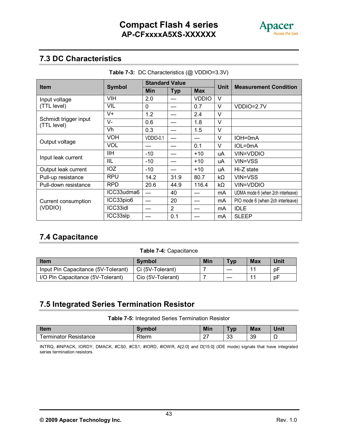

# **7.3 DC Characteristics**

| <b>Item</b>                          | <b>Symbol</b>           | <b>Standard Value</b> |                |              | <b>Unit</b> | <b>Measurement Condition</b>      |
|--------------------------------------|-------------------------|-----------------------|----------------|--------------|-------------|-----------------------------------|
|                                      |                         | Min                   | <b>Typ</b>     | <b>Max</b>   |             |                                   |
| Input voltage                        | <b>VIH</b>              | 2.0                   |                | <b>VDDIO</b> | $\vee$      |                                   |
| (TTL level)                          | <b>VIL</b>              | 0                     |                | 0.7          | $\vee$      | VDDIO=2.7V                        |
|                                      | $V +$                   | 1.2                   |                | 2.4          | $\vee$      |                                   |
| Schmidt trigger input<br>(TTL level) | $\overline{\mathsf{V}}$ | 0.6                   |                | 1.8          | $\vee$      |                                   |
|                                      | Vh                      | 0.3                   |                | 1.5          | V           |                                   |
|                                      | <b>VOH</b>              | VDDIO-0.1             |                |              | V           | IOH=0mA                           |
| Output voltage                       | <b>VOL</b>              |                       |                | 0.1          | V           | $IOL=0mA$                         |
|                                      | <b>IIH</b>              | $-10$                 |                | $+10$        | uA          | VIN=VDDIO                         |
| Input leak current                   | IIL                     | $-10$                 |                | $+10$        | uA          | VIN=VSS                           |
| Output leak current                  | IOZ                     | $-10$                 |                | $+10$        | uA          | Hi-Z state                        |
| Pull-up resistance                   | <b>RPU</b>              | 14.2                  | 31.9           | 80.7         | kΩ          | VIN=VSS                           |
| Pull-down resistance                 | <b>RPD</b>              | 20.6                  | 44.9           | 116.4        | kΩ          | VIN=VDDIO                         |
|                                      | ICC33udma6              |                       | 40             |              | mA          | UDMA mode 6 (when 2ch interleave) |
| Current consumption                  | ICC33pio6               |                       | 20             |              | mA          | PIO mode 6 (when 2ch interleave)  |
| (VDDIO)                              | ICC33idl                |                       | $\overline{2}$ |              | mA          | <b>IDLE</b>                       |
|                                      | ICC33slp                |                       | 0.1            |              | mA          | <b>SLEEP</b>                      |

**Table 7-3:** DC Characteristics (@ VDDIO=3.3V)

# **7.4 Capacitance**

#### **Table 7-4:** Capacitance

| <b>Item</b>                         | <b>Symbol</b>     | Min | Typ | <b>Max</b> | Unit |
|-------------------------------------|-------------------|-----|-----|------------|------|
| Input Pin Capacitance (5V-Tolerant) | Ci (5V-Tolerant)  |     |     | $-11$      | рF   |
| I/O Pin Capacitance (5V-Tolerant)   | Cio (5V-Tolerant) |     |     | $-11$      | рF   |

### **7.5 Integrated Series Termination Resistor**

**Table 7-5:** Integrated Series Termination Resistor

| Item                  | Symbol | <b>Min</b>         | $\tau_{\mathsf{yp}}$ | <b>Max</b> | Unit |
|-----------------------|--------|--------------------|----------------------|------------|------|
| Terminator Resistance | Rterm  | $\sim$<br><u>_</u> | ാറ<br>ົບ             | 39         | 77   |

INTRQ, #INPACK, IORDY, DMACK, #CS0, #CS1, #IORD, #IOWR, A[2:0] and D[15:0] (IDE mode) signals that have integrated series termination resistors.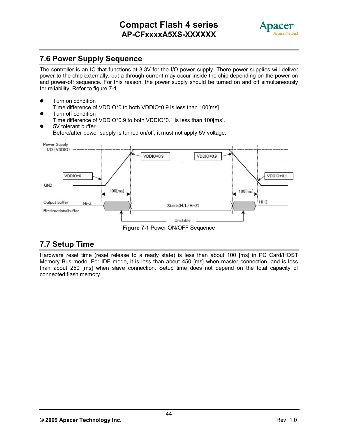

# **7.6 Power Supply Sequence**

The controller is an IC that functions at 3.3V for the I/O power supply. There power supplies will deliver power to the chip externally, but a through current may occur inside the chip depending on the power-on and power-off sequence. For this reason, the power supply should be turned on and off simultaneously for reliability. Refer to figure 7-1.

- Turn on condition Time difference of VDDIO\*0 to both VDDIO\*0.9 is less than 100[ms].
- Turn off condition Time difference of VDDIO\*0.9 to both VDDIO\*0.1 is less than 100[ms].
- 5V tolerant buffer Before/after power supply is turned on/off, it must not apply 5V voltage.



**Figure 7-1** Power ON/OFF Sequence

# **7.7 Setup Time**

Hardware reset time (reset release to a ready state) is less than about 100 [ms] in PC Card/HOST Memory Bus mode. For IDE mode, it is less than about 450 [ms] when master connection, and is less than about 250 [ms] when slave connection. Setup time does not depend on the total capacity of connected flash memory.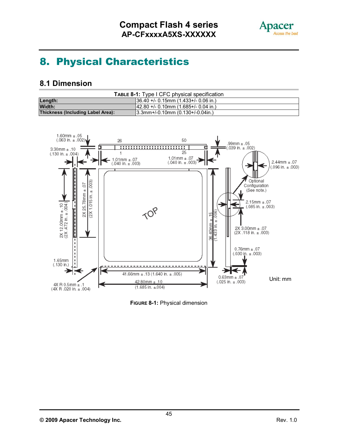

# **8. Physical Characteristics**

### **8.1 Dimension**

| <b>TABLE 8-1:</b> Type I CFC physical specification |                                                  |  |  |  |
|-----------------------------------------------------|--------------------------------------------------|--|--|--|
| Length:                                             | $\parallel$ 36.40 +/- 0.15mm (1.433+/- 0.06 in.) |  |  |  |
| Width:                                              | $142.80 + 0.10$ mm (1.685+/- 0.04 in.)           |  |  |  |
| Thickness (Including Label Area):                   | $(3.3$ mm+/-0.10mm $(0.130+)$ -0.04in.)          |  |  |  |



**FIGURE 8-1:** Physical dimension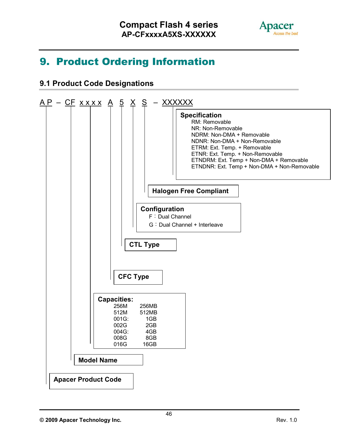

# **9. Product Ordering Information**

# **9.1 Product Code Designations**

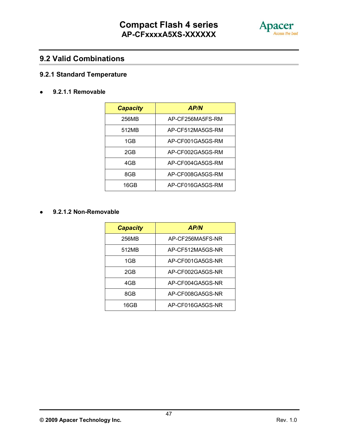![](_page_47_Picture_1.jpeg)

### **9.2 Valid Combinations**

### **9.2.1 Standard Temperature**

#### **9.2.1.1 Removable**

| <b>Capacity</b> | <b>AP/N</b>      |
|-----------------|------------------|
| 256MB           | AP-CF256MA5FS-RM |
| 512MB           | AP-CF512MA5GS-RM |
| 1GB             | AP-CF001GA5GS-RM |
| 2GB             | AP-CF002GA5GS-RM |
| 4GB             | AP-CF004GA5GS-RM |
| 8GB             | AP-CF008GA5GS-RM |
| 16GB            | AP-CF016GA5GS-RM |

#### **9.2.1.2 Non-Removable**

| <b>Capacity</b> | <b>AP/N</b>      |
|-----------------|------------------|
| 256MB           | AP-CF256MA5FS-NR |
| 512MB           | AP-CF512MA5GS-NR |
| 1GB             | AP-CF001GA5GS-NR |
| 2GB             | AP-CF002GA5GS-NR |
| 4GB             | AP-CF004GA5GS-NR |
| 8GB             | AP-CF008GA5GS-NR |
| 16GB            | AP-CF016GA5GS-NR |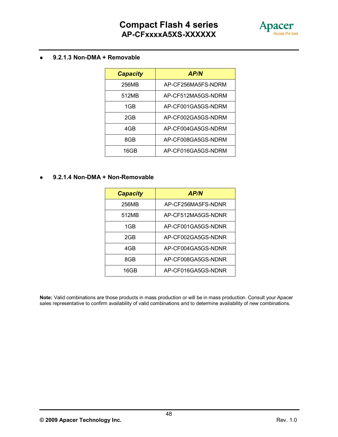![](_page_48_Picture_1.jpeg)

#### **9.2.1.3 Non-DMA + Removable**

| <b>Capacity</b> | <b>AP/N</b>        |
|-----------------|--------------------|
| 256MB           | AP-CF256MA5FS-NDRM |
| 512MB           | AP-CF512MA5GS-NDRM |
| 1GB             | AP-CF001GA5GS-NDRM |
| 2GB             | AP-CF002GA5GS-NDRM |
| 4GB             | AP-CF004GA5GS-NDRM |
| 8GB             | AP-CF008GA5GS-NDRM |
| 16GB            | AP-CF016GA5GS-NDRM |

#### **9.2.1.4 Non-DMA + Non-Removable**

| <b>Capacity</b> | <b>AP/N</b>        |
|-----------------|--------------------|
| 256MB           | AP-CF256MA5FS-NDNR |
| 512MB           | AP-CF512MA5GS-NDNR |
| 1GB             | AP-CF001GA5GS-NDNR |
| 2GB             | AP-CF002GA5GS-NDNR |
| 4GB             | AP-CF004GA5GS-NDNR |
| 8GB             | AP-CF008GA5GS-NDNR |
| 16GB            | AP-CF016GA5GS-NDNR |

**Note:** Valid combinations are those products in mass production or will be in mass production. Consult your Apacer sales representative to confirm availability of valid combinations and to determine availability of new combinations.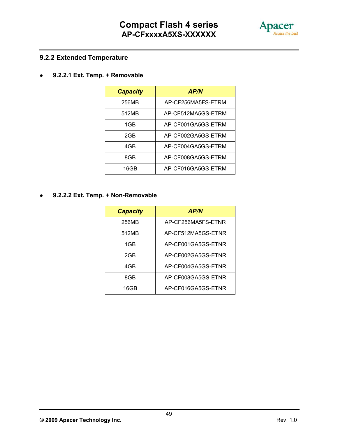![](_page_49_Picture_1.jpeg)

### **9.2.2 Extended Temperature**

**9.2.2.1 Ext. Temp. + Removable**

| <b>Capacity</b> | <b>AP/N</b>        |
|-----------------|--------------------|
| 256MB           | AP-CF256MA5FS-ETRM |
| 512MB           | AP-CF512MA5GS-ETRM |
| 1GB             | AP-CF001GA5GS-ETRM |
| 2GB             | AP-CF002GA5GS-FTRM |
| 4GB             | AP-CF004GA5GS-ETRM |
| 8GB             | AP-CF008GA5GS-ETRM |
| 16GB            | AP-CF016GA5GS-ETRM |

**9.2.2.2 Ext. Temp. + Non-Removable**

| <b>Capacity</b> | <b>AP/N</b>        |
|-----------------|--------------------|
| 256MB           | AP-CF256MA5FS-ETNR |
| 512MB           | AP-CF512MA5GS-ETNR |
| 1GB             | AP-CF001GA5GS-ETNR |
| 2GB             | AP-CF002GA5GS-ETNR |
| 4GB             | AP-CF004GA5GS-ETNR |
| 8GB             | AP-CF008GA5GS-ETNR |
| 16GB            | AP-CF016GA5GS-ETNR |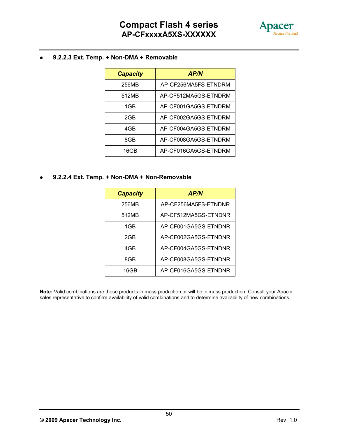![](_page_50_Picture_1.jpeg)

#### **9.2.2.3 Ext. Temp. + Non-DMA + Removable**

| <b>Capacity</b> | <b>AP/N</b>          |
|-----------------|----------------------|
| 256MB           | AP-CF256MA5FS-ETNDRM |
| 512MB           | AP-CF512MA5GS-ETNDRM |
| 1GB             | AP-CF001GA5GS-ETNDRM |
| 2GB             | AP-CF002GA5GS-ETNDRM |
| 4GB             | AP-CF004GA5GS-ETNDRM |
| 8GB             | AP-CF008GA5GS-ETNDRM |
| 16GB            | AP-CF016GA5GS-ETNDRM |

**9.2.2.4 Ext. Temp. + Non-DMA + Non-Removable**

| <b>Capacity</b> | <b>AP/N</b>          |
|-----------------|----------------------|
| 256MB           | AP-CF256MA5FS-ETNDNR |
| 512MB           | AP-CF512MA5GS-ETNDNR |
| 1GB             | AP-CF001GA5GS-ETNDNR |
| 2GB             | AP-CF002GA5GS-ETNDNR |
| 4GB             | AP-CF004GA5GS-ETNDNR |
| 8GB             | AP-CF008GA5GS-ETNDNR |
| 16GB            | AP-CF016GA5GS-ETNDNR |

**Note:** Valid combinations are those products in mass production or will be in mass production. Consult your Apacer sales representative to confirm availability of valid combinations and to determine availability of new combinations.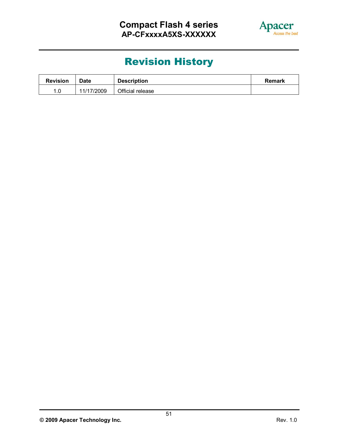![](_page_51_Picture_1.jpeg)

# **Revision History**

| <b>Revision</b> | <b>Date</b> | <b>Description</b> | <b>Remark</b> |
|-----------------|-------------|--------------------|---------------|
|                 | 11/17/2009  | Official release   |               |